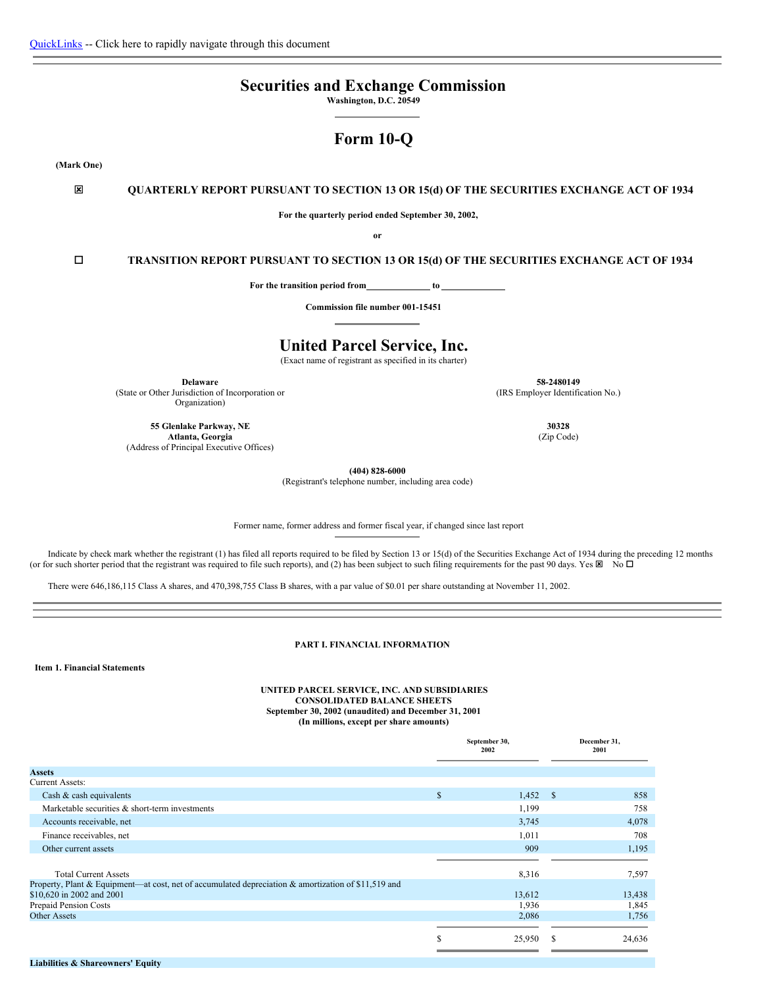# **Securities and Exchange Commission**

**Washington, D.C. 20549**

# **Form 10-Q**

**(Mark One)**

# ý **QUARTERLY REPORT PURSUANT TO SECTION 13 OR 15(d) OF THE SECURITIES EXCHANGE ACT OF 1934**

**For the quarterly period ended September 30, 2002,**

**or**

# o **TRANSITION REPORT PURSUANT TO SECTION 13 OR 15(d) OF THE SECURITIES EXCHANGE ACT OF 1934**

**For the transition period from to**

**Commission file number 001-15451**

# **United Parcel Service, Inc.**

(Exact name of registrant as specified in its charter)

**Delaware** (State or Other Jurisdiction of Incorporation or Organization)

**58-2480149** (IRS Employer Identification No.)

**55 Glenlake Parkway, NE Atlanta, Georgia** (Address of Principal Executive Offices)

**30328** (Zip Code)

**(404) 828-6000**

(Registrant's telephone number, including area code)

Former name, former address and former fiscal year, if changed since last report

Indicate by check mark whether the registrant (1) has filed all reports required to be filed by Section 13 or 15(d) of the Securities Exchange Act of 1934 during the preceding 12 months (or for such shorter period that the registrant was required to file such reports), and (2) has been subject to such filing requirements for the past 90 days. Yes  $\boxtimes$  No  $\Box$ 

There were 646,186,115 Class A shares, and 470,398,755 Class B shares, with a par value of \$0.01 per share outstanding at November 11, 2002.

# <span id="page-0-0"></span>**PART I. FINANCIAL INFORMATION**

<span id="page-0-1"></span>**Item 1. Financial Statements**

## **UNITED PARCEL SERVICE, INC. AND SUBSIDIARIES CONSOLIDATED BALANCE SHEETS September 30, 2002 (unaudited) and December 31, 2001 (In millions, except per share amounts)**

|                                                                                                     |   | September 30,<br>2002 | December 31,<br>2001 |        |  |
|-----------------------------------------------------------------------------------------------------|---|-----------------------|----------------------|--------|--|
| <b>Assets</b>                                                                                       |   |                       |                      |        |  |
| <b>Current Assets:</b>                                                                              |   |                       |                      |        |  |
| Cash $\&$ cash equivalents                                                                          | S | $1,452$ \$            |                      | 858    |  |
| Marketable securities & short-term investments                                                      |   | 1,199                 |                      | 758    |  |
| Accounts receivable, net                                                                            |   | 3,745                 |                      | 4,078  |  |
| Finance receivables, net                                                                            |   | 1,011                 |                      | 708    |  |
| Other current assets                                                                                |   | 909                   |                      | 1,195  |  |
|                                                                                                     |   |                       |                      |        |  |
| <b>Total Current Assets</b>                                                                         |   | 8,316                 |                      | 7,597  |  |
| Property, Plant & Equipment—at cost, net of accumulated depreciation & amortization of \$11,519 and |   |                       |                      |        |  |
| \$10,620 in 2002 and 2001                                                                           |   | 13,612                |                      | 13,438 |  |
| Prepaid Pension Costs                                                                               |   | 1,936                 |                      | 1,845  |  |
| <b>Other Assets</b>                                                                                 |   | 2,086                 |                      | 1,756  |  |
|                                                                                                     |   |                       |                      |        |  |
|                                                                                                     | S | 25,950                |                      | 24,636 |  |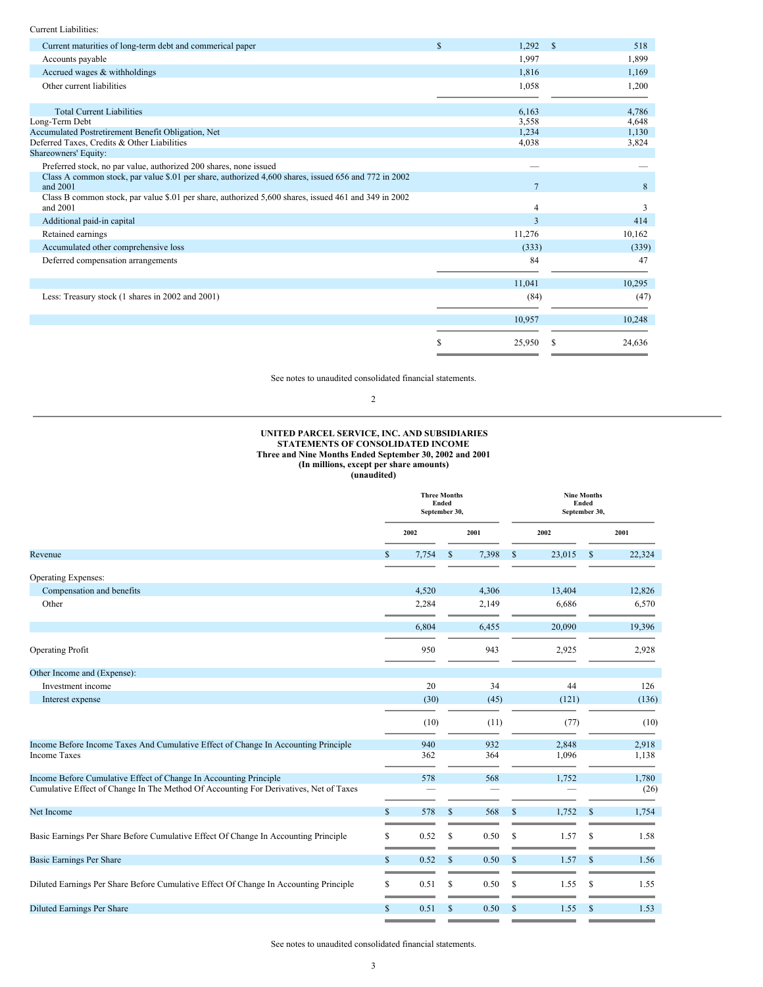Current Liabilities:

| Current maturities of long-term debt and commerical paper                                                        | $\mathbb{S}$ | 1,292                    | <sup>S</sup> | 518    |
|------------------------------------------------------------------------------------------------------------------|--------------|--------------------------|--------------|--------|
| Accounts payable                                                                                                 |              | 1,997                    |              | 1,899  |
| Accrued wages & withholdings                                                                                     |              | 1.816                    |              | 1.169  |
| Other current liabilities                                                                                        |              | 1,058                    |              | 1,200  |
|                                                                                                                  |              |                          |              |        |
| <b>Total Current Liabilities</b>                                                                                 |              | 6.163                    |              | 4,786  |
| Long-Term Debt                                                                                                   |              | 3,558                    |              | 4,648  |
| Accumulated Postretirement Benefit Obligation, Net                                                               |              | 1,234                    |              | 1,130  |
| Deferred Taxes, Credits & Other Liabilities                                                                      |              | 4,038                    |              | 3,824  |
| Shareowners' Equity:                                                                                             |              |                          |              |        |
| Preferred stock, no par value, authorized 200 shares, none issued                                                |              |                          |              |        |
| Class A common stock, par value \$.01 per share, authorized 4,600 shares, issued 656 and 772 in 2002             |              |                          |              |        |
| and 2001                                                                                                         |              |                          |              | 8      |
| Class B common stock, par value \$.01 per share, authorized 5,600 shares, issued 461 and 349 in 2002<br>and 2001 |              | 4                        |              | 3      |
| Additional paid-in capital                                                                                       |              | $\overline{\mathcal{E}}$ |              | 414    |
| Retained earnings                                                                                                |              | 11,276                   |              | 10,162 |
| Accumulated other comprehensive loss                                                                             |              | (333)                    |              | (339)  |
| Deferred compensation arrangements                                                                               |              | 84                       |              | 47     |
|                                                                                                                  |              |                          |              |        |
|                                                                                                                  |              | 11.041                   |              | 10.295 |
| Less: Treasury stock (1 shares in 2002 and 2001)                                                                 |              | (84)                     |              | (47)   |
|                                                                                                                  |              |                          |              |        |
|                                                                                                                  |              | 10,957                   |              | 10,248 |
|                                                                                                                  | S            | 25,950                   |              | 24,636 |
|                                                                                                                  |              |                          |              |        |

See notes to unaudited consolidated financial statements.

2

#### **UNITED PARCEL SERVICE, INC. AND SUBSIDIARIES STATEMENTS OF CONSOLIDATED INCOME Three and Nine Months Ended September 30, 2002 and 2001 (In millions, except per share amounts) (unaudited)**

|                                                                                       |    |       | <b>Three Months</b><br><b>Ended</b><br>September 30, |       |              |        |               |        |
|---------------------------------------------------------------------------------------|----|-------|------------------------------------------------------|-------|--------------|--------|---------------|--------|
|                                                                                       |    | 2002  |                                                      | 2001  |              | 2002   |               | 2001   |
| Revenue                                                                               | \$ | 7,754 | $\mathbb{S}$                                         | 7,398 | $\mathbb{S}$ | 23,015 | $\mathbb{S}$  | 22,324 |
| Operating Expenses:                                                                   |    |       |                                                      |       |              |        |               |        |
| Compensation and benefits                                                             |    | 4,520 |                                                      | 4,306 |              | 13,404 |               | 12,826 |
| Other                                                                                 |    | 2,284 |                                                      | 2,149 |              | 6,686  |               | 6,570  |
|                                                                                       |    | 6,804 |                                                      | 6,455 |              | 20,090 |               | 19,396 |
| Operating Profit                                                                      |    | 950   |                                                      | 943   |              | 2,925  |               | 2,928  |
| Other Income and (Expense):                                                           |    |       |                                                      |       |              |        |               |        |
| Investment income                                                                     |    | 20    |                                                      | 34    |              | 44     |               | 126    |
| Interest expense                                                                      |    | (30)  |                                                      | (45)  |              | (121)  |               | (136)  |
|                                                                                       |    | (10)  |                                                      | (11)  |              | (77)   |               | (10)   |
| Income Before Income Taxes And Cumulative Effect of Change In Accounting Principle    |    | 940   |                                                      | 932   |              | 2,848  |               | 2,918  |
| <b>Income Taxes</b>                                                                   |    | 362   |                                                      | 364   |              | 1,096  |               | 1,138  |
| Income Before Cumulative Effect of Change In Accounting Principle                     |    | 578   |                                                      | 568   |              | 1,752  |               | 1,780  |
| Cumulative Effect of Change In The Method Of Accounting For Derivatives, Net of Taxes |    |       |                                                      |       |              |        |               | (26)   |
| Net Income                                                                            | \$ | 578   | \$                                                   | 568   | \$           | 1,752  | <sup>\$</sup> | 1,754  |
| Basic Earnings Per Share Before Cumulative Effect Of Change In Accounting Principle   | S  | 0.52  | \$                                                   | 0.50  | \$           | 1.57   | S             | 1.58   |
| <b>Basic Earnings Per Share</b>                                                       | \$ | 0.52  | \$                                                   | 0.50  | \$           | 1.57   | \$            | 1.56   |
| Diluted Earnings Per Share Before Cumulative Effect Of Change In Accounting Principle | S  | 0.51  | \$                                                   | 0.50  | \$           | 1.55   | S             | 1.55   |
| <b>Diluted Earnings Per Share</b>                                                     | \$ | 0.51  | \$                                                   | 0.50  | \$           | 1.55   | $\mathbb{S}$  | 1.53   |

See notes to unaudited consolidated financial statements.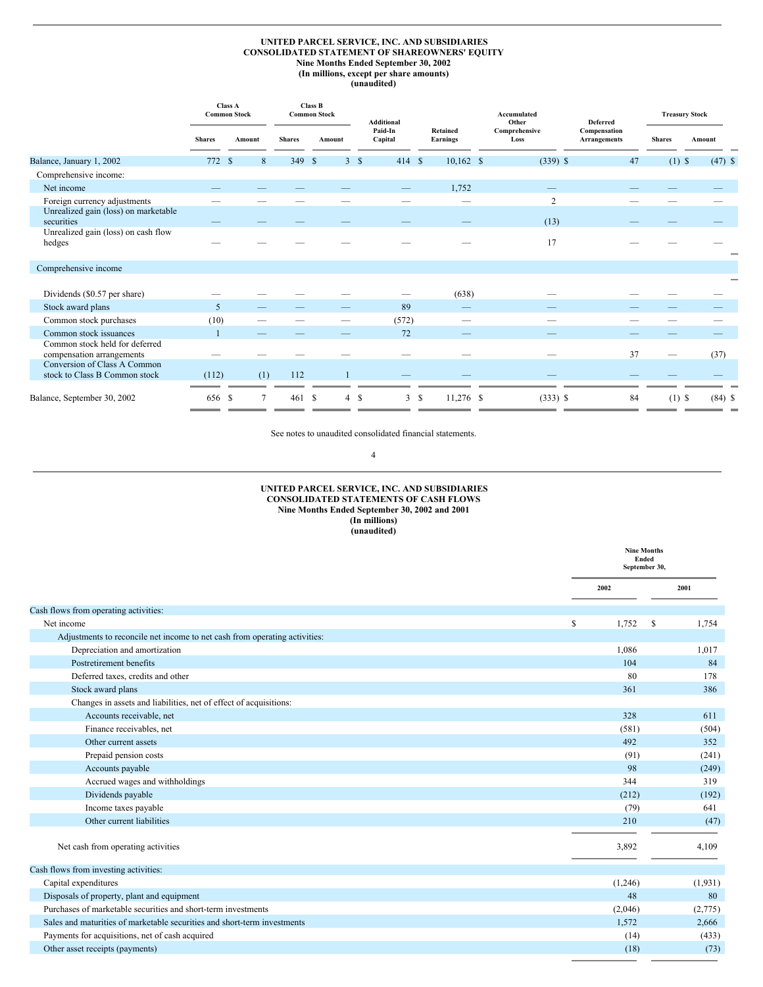#### **UNITED PARCEL SERVICE, INC. AND SUBSIDIARIES CONSOLIDATED STATEMENT OF SHAREOWNERS' EQUITY Nine Months Ended September 30, 2002 (In millions, except per share amounts) (unaudited)**

|                                                               |                | <b>Class A</b><br><b>Common Stock</b> |               | <b>Class B</b><br><b>Common Stock</b> |    | <b>Additional</b>  |                      | Accumulated<br>Other  | <b>Deferred</b>                     |               | <b>Treasury Stock</b> |
|---------------------------------------------------------------|----------------|---------------------------------------|---------------|---------------------------------------|----|--------------------|----------------------|-----------------------|-------------------------------------|---------------|-----------------------|
|                                                               | <b>Shares</b>  | Amount                                | <b>Shares</b> | Amount                                |    | Paid-In<br>Capital | Retained<br>Earnings | Comprehensive<br>Loss | Compensation<br><b>Arrangements</b> | <b>Shares</b> | Amount                |
| Balance, January 1, 2002                                      | 772            | 8<br>$\mathcal{S}$                    | 349 \$        |                                       | 3S | 414 \$             | $10,162$ \$          | $(339)$ \$            | 47                                  |               | $(1)$ \$<br>$(47)$ \$ |
| Comprehensive income:                                         |                |                                       |               |                                       |    |                    |                      |                       |                                     |               |                       |
| Net income                                                    |                |                                       |               |                                       |    |                    | 1,752                |                       |                                     |               |                       |
| Foreign currency adjustments                                  |                |                                       |               |                                       |    |                    |                      | 2                     |                                     |               |                       |
| Unrealized gain (loss) on marketable<br>securities            |                |                                       |               |                                       |    |                    |                      | (13)                  |                                     |               |                       |
| Unrealized gain (loss) on cash flow<br>hedges                 |                |                                       |               |                                       |    |                    |                      | 17                    |                                     |               |                       |
| Comprehensive income                                          |                |                                       |               |                                       |    |                    |                      |                       |                                     |               |                       |
|                                                               |                |                                       |               |                                       |    |                    |                      |                       |                                     |               |                       |
| Dividends (\$0.57 per share)                                  |                |                                       |               |                                       |    |                    | (638)                |                       |                                     |               |                       |
| Stock award plans                                             | $\mathfrak{F}$ |                                       |               |                                       |    | 89                 |                      |                       |                                     |               |                       |
| Common stock purchases                                        | (10)           | —                                     |               |                                       |    | (572)              |                      |                       |                                     |               |                       |
| Common stock issuances                                        |                |                                       |               |                                       |    | 72                 |                      |                       |                                     |               |                       |
| Common stock held for deferred<br>compensation arrangements   |                |                                       |               |                                       |    |                    |                      |                       | 37                                  |               | (37)                  |
| Conversion of Class A Common<br>stock to Class B Common stock | (112)          | (1)                                   | 112           |                                       |    |                    |                      |                       |                                     |               |                       |
| Balance, September 30, 2002                                   | 656            | 7<br>-S                               | 461S          |                                       | 4S | 3S                 | $11,276$ \$          | $(333)$ \$            | 84                                  |               | $(84)$ \$<br>$(1)$ \$ |

See notes to unaudited consolidated financial statements.

# 4

### **UNITED PARCEL SERVICE, INC. AND SUBSIDIARIES CONSOLIDATED STATEMENTS OF CASH FLOWS Nine Months Ended September 30, 2002 and 2001 (In millions) (unaudited)**

|                                                                            |            | <b>Nine Months</b><br>Ended<br>September 30, |
|----------------------------------------------------------------------------|------------|----------------------------------------------|
|                                                                            | 2002       | 2001                                         |
| Cash flows from operating activities:                                      |            |                                              |
| Net income                                                                 | 1,752<br>S | 1,754<br>S                                   |
| Adjustments to reconcile net income to net cash from operating activities: |            |                                              |
| Depreciation and amortization                                              | 1,086      | 1,017                                        |
| Postretirement benefits                                                    | 104        | 84                                           |
| Deferred taxes, credits and other                                          | 80         | 178                                          |
| Stock award plans                                                          | 361        | 386                                          |
| Changes in assets and liabilities, net of effect of acquisitions:          |            |                                              |
| Accounts receivable, net                                                   | 328        | 611                                          |
| Finance receivables, net                                                   | (581)      | (504)                                        |
| Other current assets                                                       | 492        | 352                                          |
| Prepaid pension costs                                                      | (91)       | (241)                                        |
| Accounts payable                                                           | 98         | (249)                                        |
| Accrued wages and withholdings                                             | 344        | 319                                          |
| Dividends payable                                                          | (212)      | (192)                                        |
| Income taxes payable                                                       | (79)       | 641                                          |
| Other current liabilities                                                  | 210        | (47)                                         |
|                                                                            |            |                                              |
| Net cash from operating activities                                         | 3,892      | 4,109                                        |
|                                                                            |            |                                              |
| Cash flows from investing activities:                                      |            |                                              |
| Capital expenditures                                                       | (1,246)    | (1, 931)                                     |
| Disposals of property, plant and equipment                                 | 48         | 80                                           |
| Purchases of marketable securities and short-term investments              | (2,046)    | (2,775)                                      |
| Sales and maturities of marketable securities and short-term investments   | 1,572      | 2,666                                        |
| Payments for acquisitions, net of cash acquired                            | (14)       | (433)                                        |
| Other asset receipts (payments)                                            | (18)       | (73)                                         |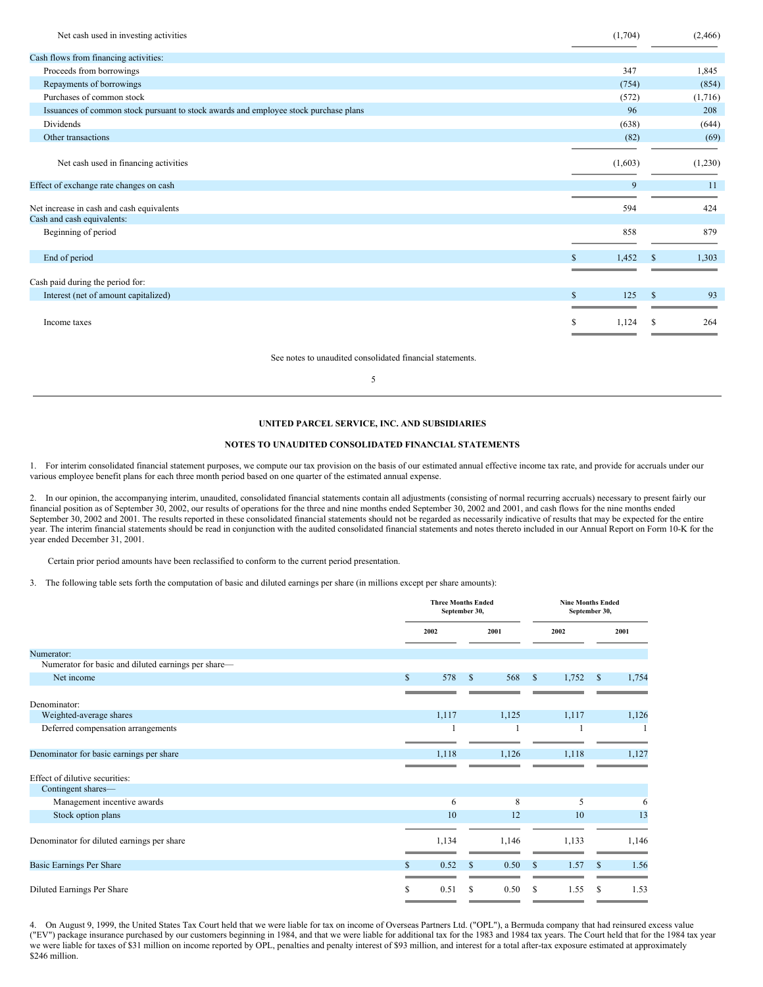| Net cash used in investing activities                                                | (1,704)             | (2, 466)            |
|--------------------------------------------------------------------------------------|---------------------|---------------------|
| Cash flows from financing activities:                                                |                     |                     |
| Proceeds from borrowings                                                             | 347                 | 1,845               |
| Repayments of borrowings                                                             | (754)               | (854)               |
| Purchases of common stock                                                            | (572)               | (1,716)             |
| Issuances of common stock pursuant to stock awards and employee stock purchase plans | 96                  | 208                 |
| Dividends                                                                            | (638)               | (644)               |
| Other transactions                                                                   | (82)                | (69)                |
|                                                                                      |                     |                     |
| Net cash used in financing activities                                                | (1,603)             | (1,230)             |
| Effect of exchange rate changes on cash                                              | 9                   | 11                  |
| Net increase in cash and cash equivalents                                            | 594                 | 424                 |
| Cash and cash equivalents:<br>Beginning of period                                    | 858                 | 879                 |
|                                                                                      |                     |                     |
| End of period                                                                        | 1,452               | 1,303<br>S          |
| Cash paid during the period for:                                                     |                     |                     |
| Interest (net of amount capitalized)                                                 | 125<br>$\mathbf{s}$ | <sup>\$</sup><br>93 |
|                                                                                      |                     |                     |
| Income taxes                                                                         | 1,124               | 264                 |
|                                                                                      |                     |                     |

See notes to unaudited consolidated financial statements.

<span id="page-3-0"></span>5

#### **UNITED PARCEL SERVICE, INC. AND SUBSIDIARIES**

## **NOTES TO UNAUDITED CONSOLIDATED FINANCIAL STATEMENTS**

1. For interim consolidated financial statement purposes, we compute our tax provision on the basis of our estimated annual effective income tax rate, and provide for accruals under our various employee benefit plans for each three month period based on one quarter of the estimated annual expense.

2. In our opinion, the accompanying interim, unaudited, consolidated financial statements contain all adjustments (consisting of normal recurring accruals) necessary to present fairly our financial position as of September 30, 2002, our results of operations for the three and nine months ended September 30, 2002 and 2001, and cash flows for the nine months ended September 30, 2002 and 2001. The results reported in these consolidated financial statements should not be regarded as necessarily indicative of results that may be expected for the entire year. The interim financial statements should be read in conjunction with the audited consolidated financial statements and notes thereto included in our Annual Report on Form 10-K for the year ended December 31, 2001.

Certain prior period amounts have been reclassified to conform to the current period presentation.

3. The following table sets forth the computation of basic and diluted earnings per share (in millions except per share amounts):

|                                                     |              | <b>Three Months Ended</b><br>September 30, |               |       | <b>Nine Months Ended</b><br>September 30, |       |               |       |
|-----------------------------------------------------|--------------|--------------------------------------------|---------------|-------|-------------------------------------------|-------|---------------|-------|
|                                                     |              | 2002                                       |               | 2001  |                                           | 2002  |               | 2001  |
| Numerator:                                          |              |                                            |               |       |                                           |       |               |       |
| Numerator for basic and diluted earnings per share- |              |                                            |               |       |                                           |       |               |       |
| Net income                                          | \$           | 578                                        | <sup>\$</sup> | 568   | <sup>S</sup>                              | 1,752 | \$            | 1,754 |
|                                                     |              |                                            |               |       |                                           |       |               |       |
| Denominator:                                        |              |                                            |               |       |                                           |       |               |       |
| Weighted-average shares                             |              | 1,117                                      |               | 1,125 |                                           | 1,117 |               | 1,126 |
| Deferred compensation arrangements                  |              |                                            |               |       |                                           | 1     |               |       |
|                                                     |              |                                            |               |       |                                           |       |               |       |
| Denominator for basic earnings per share            |              | 1,118                                      |               | 1,126 |                                           | 1,118 |               | 1,127 |
|                                                     |              |                                            |               |       |                                           |       |               |       |
| Effect of dilutive securities:                      |              |                                            |               |       |                                           |       |               |       |
| Contingent shares—                                  |              |                                            |               |       |                                           |       |               |       |
| Management incentive awards                         |              | 6                                          |               | 8     |                                           | 5     |               | 6     |
| Stock option plans                                  |              | 10                                         |               | 12    |                                           | 10    |               | 13    |
|                                                     |              |                                            |               |       |                                           |       |               |       |
| Denominator for diluted earnings per share          |              | 1,134                                      |               | 1,146 |                                           | 1,133 |               | 1,146 |
|                                                     |              |                                            |               |       |                                           |       |               |       |
| <b>Basic Earnings Per Share</b>                     | $\mathbf{s}$ | 0.52                                       | \$            | 0.50  | <sup>\$</sup>                             | 1.57  | <sup>\$</sup> | 1.56  |
|                                                     |              |                                            |               |       |                                           |       |               |       |
| <b>Diluted Earnings Per Share</b>                   | S            | 0.51                                       | \$            | 0.50  | S                                         | 1.55  | S             | 1.53  |

4. On August 9, 1999, the United States Tax Court held that we were liable for tax on income of Overseas Partners Ltd. ("OPL"), a Bermuda company that had reinsured excess value ("EV") package insurance purchased by our customers beginning in 1984, and that we were liable for additional tax for the 1983 and 1984 tax years. The Court held that for the 1984 tax year we were liable for taxes of \$31 million on income reported by OPL, penalties and penalty interest of \$93 million, and interest for a total after-tax exposure estimated at approximately \$246 million.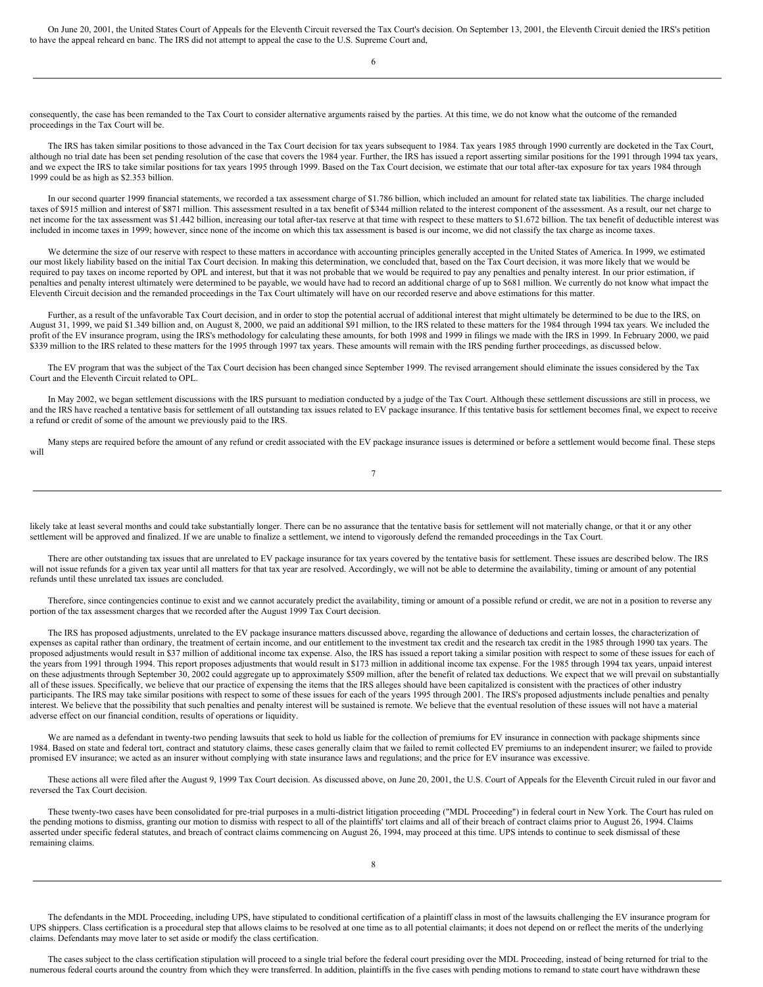On June 20, 2001, the United States Court of Appeals for the Eleventh Circuit reversed the Tax Court's decision. On September 13, 2001, the Eleventh Circuit denied the IRS's petition to have the appeal reheard en banc. The IRS did not attempt to appeal the case to the U.S. Supreme Court and,

6

consequently, the case has been remanded to the Tax Court to consider alternative arguments raised by the parties. At this time, we do not know what the outcome of the remanded proceedings in the Tax Court will be.

The IRS has taken similar positions to those advanced in the Tax Court decision for tax years subsequent to 1984. Tax years 1985 through 1990 currently are docketed in the Tax Court, although no trial date has been set pending resolution of the case that covers the 1984 year. Further, the IRS has issued a report asserting similar positions for the 1991 through 1994 tax years, and we expect the IRS to take similar positions for tax years 1995 through 1999. Based on the Tax Court decision, we estimate that our total after-tax exposure for tax years 1984 through 1999 could be as high as \$2.353 billion.

In our second quarter 1999 financial statements, we recorded a tax assessment charge of \$1.786 billion, which included an amount for related state tax liabilities. The charge included taxes of \$915 million and interest of \$871 million. This assessment resulted in a tax benefit of \$344 million related to the interest component of the assessment. As a result, our net charge to net income for the tax assessment was \$1.442 billion, increasing our total after-tax reserve at that time with respect to these matters to \$1.672 billion. The tax benefit of deductible interest was included in income taxes in 1999; however, since none of the income on which this tax assessment is based is our income, we did not classify the tax charge as income taxes.

We determine the size of our reserve with respect to these matters in accordance with accounting principles generally accepted in the United States of America. In 1999, we estimated our most likely liability based on the initial Tax Court decision. In making this determination, we concluded that, based on the Tax Court decision, it was more likely that we would be required to pay taxes on income reported by OPL and interest, but that it was not probable that we would be required to pay any penalties and penalty interest. In our prior estimation, if penalties and penalty interest ultimately were determined to be payable, we would have had to record an additional charge of up to \$681 million. We currently do not know what impact the Eleventh Circuit decision and the remanded proceedings in the Tax Court ultimately will have on our recorded reserve and above estimations for this matter.

Further, as a result of the unfavorable Tax Court decision, and in order to stop the potential accrual of additional interest that might ultimately be determined to be due to the IRS, on August 31, 1999, we paid \$1.349 billion and, on August 8, 2000, we paid an additional \$91 million, to the IRS related to these matters for the 1984 through 1994 tax years. We included the profit of the EV insurance program, using the IRS's methodology for calculating these amounts, for both 1998 and 1999 in filings we made with the IRS in 1999. In February 2000, we paid \$339 million to the IRS related to these matters for the 1995 through 1997 tax years. These amounts will remain with the IRS pending further proceedings, as discussed below.

The EV program that was the subject of the Tax Court decision has been changed since September 1999. The revised arrangement should eliminate the issues considered by the Tax Court and the Eleventh Circuit related to OPL.

In May 2002, we began settlement discussions with the IRS pursuant to mediation conducted by a judge of the Tax Court. Although these settlement discussions are still in process, we and the IRS have reached a tentative basis for settlement of all outstanding tax issues related to EV package insurance. If this tentative basis for settlement becomes final, we expect to receive a refund or credit of some of the amount we previously paid to the IRS.

Many steps are required before the amount of any refund or credit associated with the EV package insurance issues is determined or before a settlement would become final. These steps will

likely take at least several months and could take substantially longer. There can be no assurance that the tentative basis for settlement will not materially change, or that it or any other settlement will be approved and finalized. If we are unable to finalize a settlement, we intend to vigorously defend the remanded proceedings in the Tax Court.

There are other outstanding tax issues that are unrelated to EV package insurance for tax years covered by the tentative basis for settlement. These issues are described below. The IRS will not issue refunds for a given tax year until all matters for that tax year are resolved. Accordingly, we will not be able to determine the availability, timing or amount of any potential refunds until these unrelated tax issues are concluded.

Therefore, since contingencies continue to exist and we cannot accurately predict the availability, timing or amount of a possible refund or credit, we are not in a position to reverse any portion of the tax assessment charges that we recorded after the August 1999 Tax Court decision.

The IRS has proposed adjustments, unrelated to the EV package insurance matters discussed above, regarding the allowance of deductions and certain losses, the characterization of expenses as capital rather than ordinary, the treatment of certain income, and our entitlement to the investment tax credit and the research tax credit in the 1985 through 1990 tax years. The proposed adjustments would result in \$37 million of additional income tax expense. Also, the IRS has issued a report taking a similar position with respect to some of these issues for each of the years from 1991 through 1994. This report proposes adjustments that would result in \$173 million in additional income tax expense. For the 1985 through 1994 tax years, unpaid interest on these adjustments through September 30, 2002 could aggregate up to approximately \$509 million, after the benefit of related tax deductions. We expect that we will prevail on substantially all of these issues. Specifically, we believe that our practice of expensing the items that the IRS alleges should have been capitalized is consistent with the practices of other industry participants. The IRS may take similar positions with respect to some of these issues for each of the years 1995 through 2001. The IRS's proposed adjustments include penalties and penalty interest. We believe that the possibility that such penalties and penalty interest will be sustained is remote. We believe that the eventual resolution of these issues will not have a material adverse effect on our financial condition, results of operations or liquidity.

We are named as a defendant in twenty-two pending lawsuits that seek to hold us liable for the collection of premiums for EV insurance in connection with package shipments since 1984. Based on state and federal tort, contract and statutory claims, these cases generally claim that we failed to remit collected EV premiums to an independent insurer; we failed to provide promised EV insurance; we acted as an insurer without complying with state insurance laws and regulations; and the price for EV insurance was excessive.

These actions all were filed after the August 9, 1999 Tax Court decision. As discussed above, on June 20, 2001, the U.S. Court of Appeals for the Eleventh Circuit ruled in our favor and reversed the Tax Court decision.

These twenty-two cases have been consolidated for pre-trial purposes in a multi-district litigation proceeding ("MDL Proceeding") in federal court in New York. The Court has ruled on the pending motions to dismiss, granting our motion to dismiss with respect to all of the plaintiffs' tort claims and all of their breach of contract claims prior to August 26, 1994. Claims asserted under specific federal statutes, and breach of contract claims commencing on August 26, 1994, may proceed at this time. UPS intends to continue to seek dismissal of these remaining claims.

The defendants in the MDL Proceeding, including UPS, have stipulated to conditional certification of a plaintiff class in most of the lawsuits challenging the EV insurance program for UPS shippers. Class certification is a procedural step that allows claims to be resolved at one time as to all potential claimants; it does not depend on or reflect the merits of the underlying claims. Defendants may move later to set aside or modify the class certification.

The cases subject to the class certification stipulation will proceed to a single trial before the federal court presiding over the MDL Proceeding, instead of being returned for trial to the numerous federal courts around the country from which they were transferred. In addition, plaintiffs in the five cases with pending motions to remand to state court have withdrawn these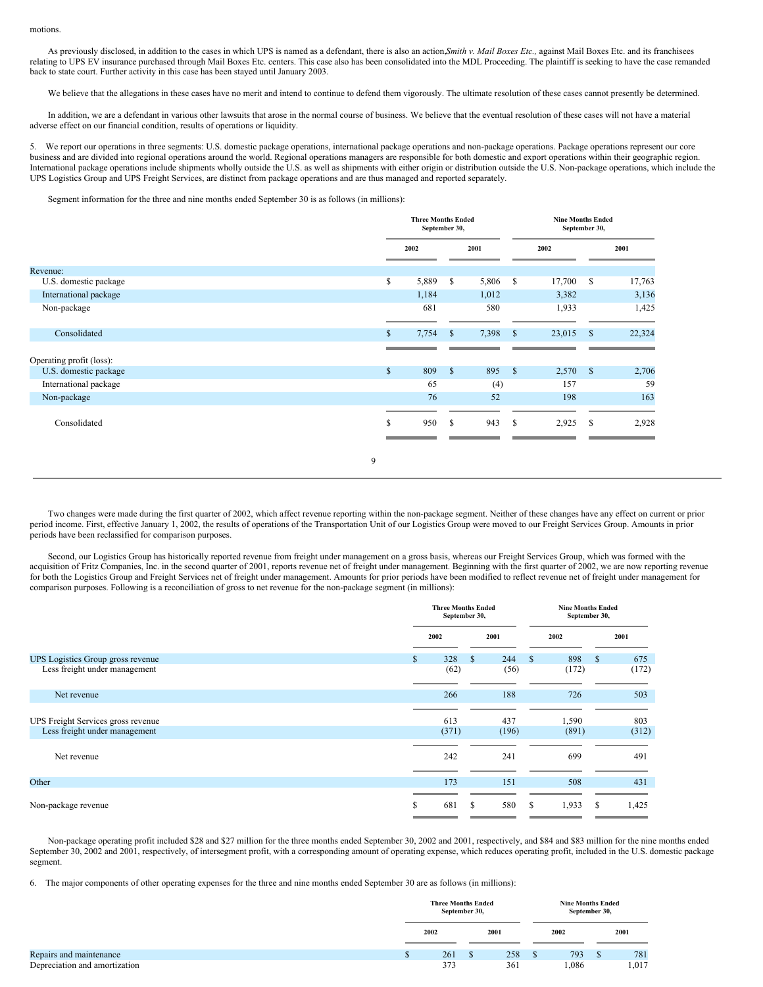As previously disclosed, in addition to the cases in which UPS is named as a defendant, there is also an action,*Smith v. Mail Boxes Etc.,* against Mail Boxes Etc. and its franchisees relating to UPS EV insurance purchased through Mail Boxes Etc. centers. This case also has been consolidated into the MDL Proceeding. The plaintiff is seeking to have the case remanded back to state court. Further activity in this case has been stayed until January 2003.

We believe that the allegations in these cases have no merit and intend to continue to defend them vigorously. The ultimate resolution of these cases cannot presently be determined.

In addition, we are a defendant in various other lawsuits that arose in the normal course of business. We believe that the eventual resolution of these cases will not have a material adverse effect on our financial condition, results of operations or liquidity.

5. We report our operations in three segments: U.S. domestic package operations, international package operations and non-package operations. Package operations represent our core business and are divided into regional operations around the world. Regional operations managers are responsible for both domestic and export operations within their geographic region. International package operations include shipments wholly outside the U.S. as well as shipments with either origin or distribution outside the U.S. Non-package operations, which include the UPS Logistics Group and UPS Freight Services, are distinct from package operations and are thus managed and reported separately.

Segment information for the three and nine months ended September 30 is as follows (in millions):

|                          |              | <b>Three Months Ended</b><br>September 30, |              |       |              | <b>Nine Months Ended</b><br>September 30, |              |        |  |  |  |
|--------------------------|--------------|--------------------------------------------|--------------|-------|--------------|-------------------------------------------|--------------|--------|--|--|--|
|                          |              | 2002                                       |              | 2001  |              | 2002                                      |              | 2001   |  |  |  |
| Revenue:                 |              |                                            |              |       |              |                                           |              |        |  |  |  |
| U.S. domestic package    | \$           | 5,889                                      | \$           | 5,806 | \$           | 17,700                                    | S            | 17,763 |  |  |  |
| International package    |              | 1,184                                      |              | 1,012 |              | 3,382                                     |              | 3,136  |  |  |  |
| Non-package              |              | 681                                        |              | 580   |              | 1,933                                     |              | 1,425  |  |  |  |
| Consolidated             | $\mathbb{S}$ | 7,754                                      | $\mathbb{S}$ | 7,398 | $\mathbb{S}$ | 23,015                                    | $\mathbb{S}$ | 22,324 |  |  |  |
| Operating profit (loss): |              |                                            |              |       |              |                                           |              |        |  |  |  |
| U.S. domestic package    | \$           | 809                                        | $\mathbb{S}$ | 895   | $\mathbb{S}$ | 2,570                                     | $\mathbb{S}$ | 2,706  |  |  |  |
| International package    |              | 65                                         |              | (4)   |              | 157                                       |              | 59     |  |  |  |
| Non-package              |              | 76                                         |              | 52    |              | 198                                       |              | 163    |  |  |  |
|                          |              |                                            |              |       |              |                                           |              |        |  |  |  |
| Consolidated             | S            | 950                                        | S            | 943   | \$           | 2,925                                     | \$           | 2,928  |  |  |  |
|                          |              |                                            |              |       |              |                                           |              |        |  |  |  |
|                          | 9            |                                            |              |       |              |                                           |              |        |  |  |  |

Two changes were made during the first quarter of 2002, which affect revenue reporting within the non-package segment. Neither of these changes have any effect on current or prior period income. First, effective January 1, 2002, the results of operations of the Transportation Unit of our Logistics Group were moved to our Freight Services Group. Amounts in prior periods have been reclassified for comparison purposes.

Second, our Logistics Group has historically reported revenue from freight under management on a gross basis, whereas our Freight Services Group, which was formed with the acquisition of Fritz Companies, Inc. in the second quarter of 2001, reports revenue net of freight under management. Beginning with the first quarter of 2002, we are now reporting revenue for both the Logistics Group and Freight Services net of freight under management. Amounts for prior periods have been modified to reflect revenue net of freight under management for comparison purposes. Following is a reconciliation of gross to net revenue for the non-package segment (in millions):

|                                    |              | <b>Three Months Ended</b><br>September 30, |               |       | <b>Nine Months Ended</b><br>September 30, |       |     |       |
|------------------------------------|--------------|--------------------------------------------|---------------|-------|-------------------------------------------|-------|-----|-------|
|                                    | 2002         |                                            |               | 2001  |                                           | 2002  |     | 2001  |
| UPS Logistics Group gross revenue  | $\mathbb{S}$ | 328                                        | <sup>\$</sup> | 244   | <b>S</b>                                  | 898   | \$. | 675   |
| Less freight under management      |              | (62)                                       |               | (56)  |                                           | (172) |     | (172) |
| Net revenue                        |              | 266                                        |               | 188   |                                           | 726   |     | 503   |
| UPS Freight Services gross revenue |              | 613                                        |               | 437   |                                           | 1,590 |     | 803   |
| Less freight under management      |              | (371)                                      |               | (196) |                                           | (891) |     | (312) |
| Net revenue                        |              | 242                                        |               | 241   |                                           | 699   |     | 491   |
| Other                              |              | 173                                        |               | 151   |                                           | 508   |     | 431   |
| Non-package revenue                | S            | 681                                        | S             | 580   | S                                         | 1,933 | S.  | 1,425 |

Non-package operating profit included \$28 and \$27 million for the three months ended September 30, 2002 and 2001, respectively, and \$84 and \$83 million for the nine months ended September 30, 2002 and 2001, respectively, of intersegment profit, with a corresponding amount of operating expense, which reduces operating profit, included in the U.S. domestic package segment.

6. The major components of other operating expenses for the three and nine months ended September 30 are as follows (in millions):

|      | <b>Three Months Ended</b><br>September 30, |      | <b>Nine Months Ended</b><br>September 30, |    |      |  |
|------|--------------------------------------------|------|-------------------------------------------|----|------|--|
|      | 2002                                       | 2001 | 2002                                      |    | 2001 |  |
| - 17 | 261                                        | 258  | 793                                       | ۰D | 781  |  |
|      | 373                                        | 361  | .086                                      |    | .017 |  |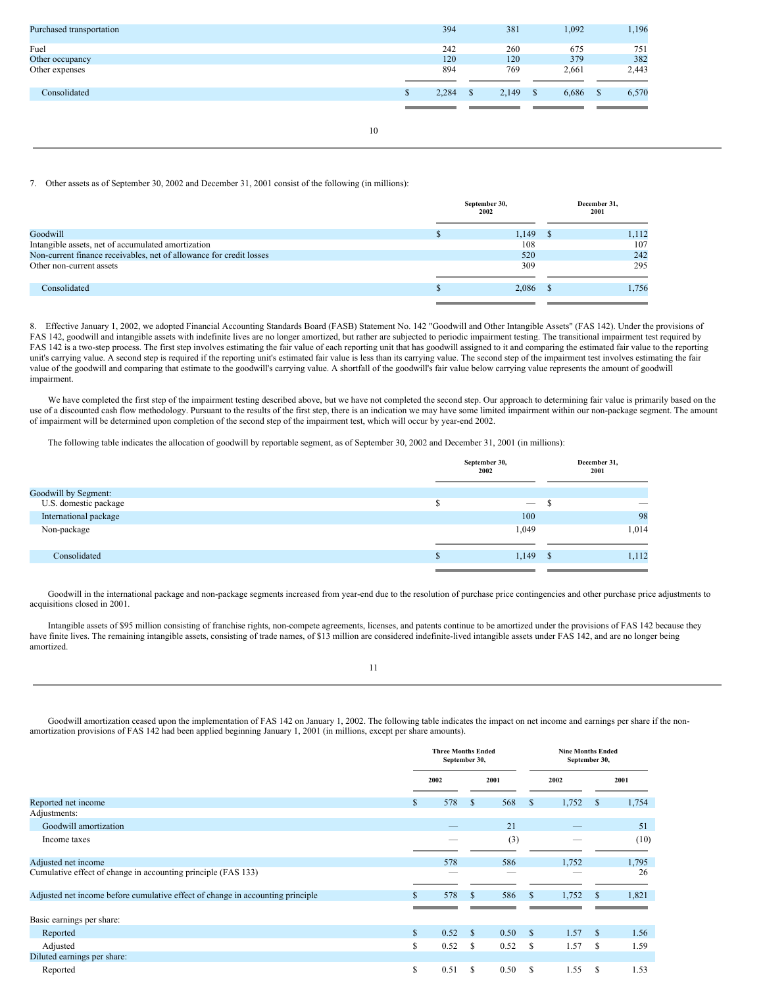| Purchased transportation |    | 394         |    | 381   |   | 1,092 |      | 1,196 |
|--------------------------|----|-------------|----|-------|---|-------|------|-------|
| Fuel                     |    | 242         |    | 260   |   | 675   |      | 751   |
| Other occupancy          |    | 120         |    | 120   |   | 379   |      | 382   |
| Other expenses           |    | 894         |    | 769   |   | 2,661 |      | 2,443 |
|                          |    |             |    |       |   |       |      |       |
| Consolidated             |    | \$<br>2,284 | -S | 2,149 | S | 6,686 | - \$ | 6,570 |
|                          |    |             |    |       |   |       |      |       |
|                          |    |             |    |       |   |       |      |       |
|                          | 10 |             |    |       |   |       |      |       |

7. Other assets as of September 30, 2002 and December 31, 2001 consist of the following (in millions):

|                                                                     | September 30,<br>2002 |       | December 31,<br>2001 |
|---------------------------------------------------------------------|-----------------------|-------|----------------------|
| Goodwill                                                            |                       | 1,149 | 1,112                |
| Intangible assets, net of accumulated amortization                  |                       | 108   | 107                  |
| Non-current finance receivables, net of allowance for credit losses |                       | 520   | 242                  |
| Other non-current assets                                            |                       | 309   | 295                  |
| Consolidated                                                        |                       | 2,086 | 1,756                |

8. Effective January 1, 2002, we adopted Financial Accounting Standards Board (FASB) Statement No. 142 "Goodwill and Other Intangible Assets" (FAS 142). Under the provisions of FAS 142, goodwill and intangible assets with indefinite lives are no longer amortized, but rather are subjected to periodic impairment testing. The transitional impairment test required by FAS 142 is a two-step process. The first step involves estimating the fair value of each reporting unit that has goodwill assigned to it and comparing the estimated fair value to the reporting unit's carrying value. A second step is required if the reporting unit's estimated fair value is less than its carrying value. The second step of the impairment test involves estimating the fair value of the goodwill and comparing that estimate to the goodwill's carrying value. A shortfall of the goodwill's fair value below carrying value represents the amount of goodwill impairment.

We have completed the first step of the impairment testing described above, but we have not completed the second step. Our approach to determining fair value is primarily based on the use of a discounted cash flow methodology. Pursuant to the results of the first step, there is an indication we may have some limited impairment within our non-package segment. The amount of impairment will be determined upon completion of the second step of the impairment test, which will occur by year-end 2002.

The following table indicates the allocation of goodwill by reportable segment, as of September 30, 2002 and December 31, 2001 (in millions):

|                       | September 30,<br>2002    | December 31,<br>2001 |  |  |  |
|-----------------------|--------------------------|----------------------|--|--|--|
| Goodwill by Segment:  |                          |                      |  |  |  |
| U.S. domestic package | $\overline{\phantom{m}}$ | c<br>__<br>Æ         |  |  |  |
| International package | 100                      | 98                   |  |  |  |
| Non-package           | 1,049                    | 1,014                |  |  |  |
|                       |                          |                      |  |  |  |
| Consolidated          | 1,149                    | 1,112<br>-S          |  |  |  |
|                       |                          |                      |  |  |  |

Goodwill in the international package and non-package segments increased from year-end due to the resolution of purchase price contingencies and other purchase price adjustments to acquisitions closed in 2001.

Intangible assets of \$95 million consisting of franchise rights, non-compete agreements, licenses, and patents continue to be amortized under the provisions of FAS 142 because they have finite lives. The remaining intangible assets, consisting of trade names, of \$13 million are considered indefinite-lived intangible assets under FAS 142, and are no longer being amortized.

11

Goodwill amortization ceased upon the implementation of FAS 142 on January 1, 2002. The following table indicates the impact on net income and earnings per share if the nonamortization provisions of FAS 142 had been applied beginning January 1, 2001 (in millions, except per share amounts).

|                                                                                |              | <b>Three Months Ended</b><br>September 30, |               |      | <b>Nine Months Ended</b><br>September 30, |       |               |       |  |
|--------------------------------------------------------------------------------|--------------|--------------------------------------------|---------------|------|-------------------------------------------|-------|---------------|-------|--|
|                                                                                |              | 2002                                       |               | 2001 |                                           | 2002  |               | 2001  |  |
| Reported net income<br>Adjustments:                                            | $\mathbb{S}$ | 578                                        | \$            | 568  | \$                                        | 1,752 | <sup>\$</sup> | 1,754 |  |
| Goodwill amortization                                                          |              |                                            |               | 21   |                                           |       |               | 51    |  |
| Income taxes                                                                   |              |                                            |               | (3)  |                                           |       |               | (10)  |  |
| Adjusted net income                                                            |              | 578                                        |               | 586  |                                           | 1,752 |               | 1,795 |  |
| Cumulative effect of change in accounting principle (FAS 133)                  |              |                                            |               |      |                                           |       |               | 26    |  |
| Adjusted net income before cumulative effect of change in accounting principle | S.           | 578                                        | <sup>\$</sup> | 586  | $\mathbb{S}$                              | 1,752 | <sup>\$</sup> | 1,821 |  |
| Basic earnings per share:                                                      |              |                                            |               |      |                                           |       |               |       |  |
| Reported                                                                       | $\mathbb{S}$ | 0.52                                       | $\mathcal{S}$ | 0.50 | $\mathbb{S}$                              | 1.57  | $\mathbf{s}$  | 1.56  |  |
| Adjusted                                                                       | S            | 0.52                                       | <sup>\$</sup> | 0.52 | <sup>S</sup>                              | 1.57  | <sup>\$</sup> | 1.59  |  |
| Diluted earnings per share:                                                    |              |                                            |               |      |                                           |       |               |       |  |
| Reported                                                                       | S            | 0.51                                       | S             | 0.50 | S                                         | 1.55  | <sup>\$</sup> | 1.53  |  |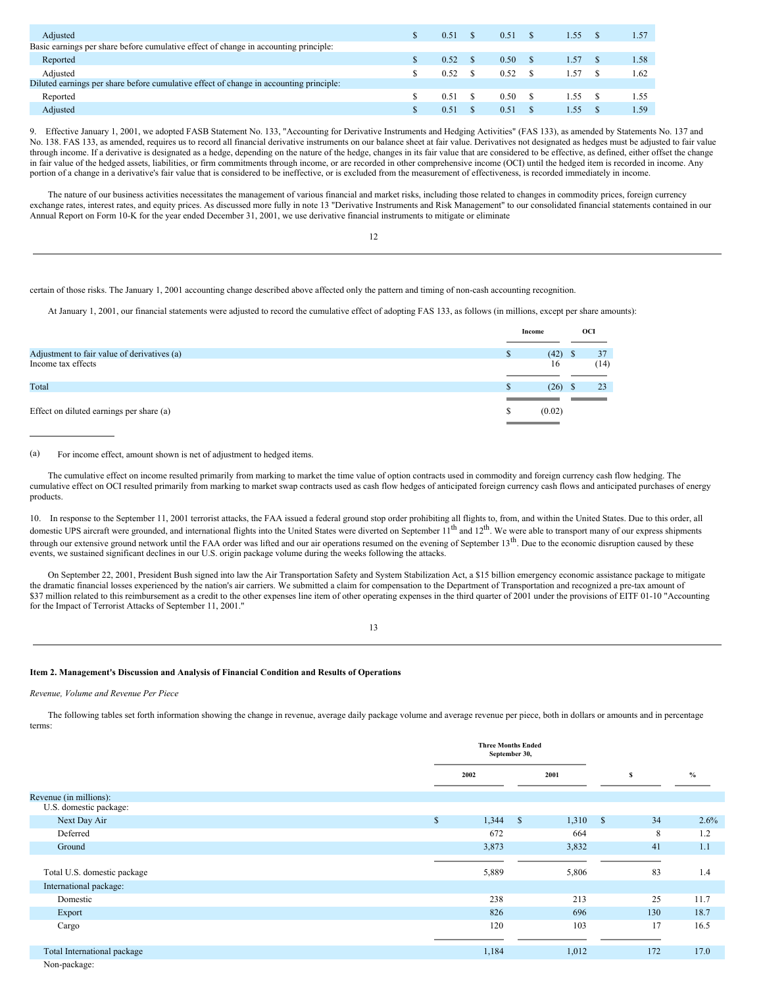| Adjusted                                                                               | 0.51 | 0.51 | 1.55. | 1.57 |
|----------------------------------------------------------------------------------------|------|------|-------|------|
| Basic earnings per share before cumulative effect of change in accounting principle:   |      |      |       |      |
| Reported                                                                               | 0.52 | 0.50 |       | 1.58 |
| Adjusted                                                                               | 0.52 | 0.52 |       | 1.62 |
| Diluted earnings per share before cumulative effect of change in accounting principle: |      |      |       |      |
| Reported                                                                               | 0.51 | 0.50 |       | 1.55 |
| Adjusted                                                                               | 0.51 | 0.51 | .55   | 1.59 |

9. Effective January 1, 2001, we adopted FASB Statement No. 133, "Accounting for Derivative Instruments and Hedging Activities" (FAS 133), as amended by Statements No. 137 and No. 138. FAS 133, as amended, requires us to record all financial derivative instruments on our balance sheet at fair value. Derivatives not designated as hedges must be adjusted to fair value through income. If a derivative is designated as a hedge, depending on the nature of the hedge, changes in its fair value that are considered to be effective, as defined, either offset the change in fair value of the hedged assets, liabilities, or firm commitments through income, or are recorded in other comprehensive income (OCI) until the hedged item is recorded in income. Any portion of a change in a derivative's fair value that is considered to be ineffective, or is excluded from the measurement of effectiveness, is recorded immediately in income.

The nature of our business activities necessitates the management of various financial and market risks, including those related to changes in commodity prices, foreign currency exchange rates, interest rates, and equity prices. As discussed more fully in note 13 "Derivative Instruments and Risk Management" to our consolidated financial statements contained in our Annual Report on Form 10-K for the year ended December 31, 2001, we use derivative financial instruments to mitigate or eliminate

12

certain of those risks. The January 1, 2001 accounting change described above affected only the pattern and timing of non-cash accounting recognition.

At January 1, 2001, our financial statements were adjusted to record the cumulative effect of adopting FAS 133, as follows (in millions, except per share amounts):

|                                             | Income |           | OCI |      |
|---------------------------------------------|--------|-----------|-----|------|
|                                             |        |           |     |      |
| Adjustment to fair value of derivatives (a) | S      | $(42)$ \$ |     | 37   |
| Income tax effects                          |        | 16        |     | (14) |
|                                             |        |           |     |      |
| Total                                       | S      | $(26)$ \$ |     | 23   |
|                                             |        |           |     |      |
| Effect on diluted earnings per share (a)    |        | (0.02)    |     |      |
|                                             |        |           |     |      |

## (a) For income effect, amount shown is net of adjustment to hedged items.

The cumulative effect on income resulted primarily from marking to market the time value of option contracts used in commodity and foreign currency cash flow hedging. The cumulative effect on OCI resulted primarily from marking to market swap contracts used as cash flow hedges of anticipated foreign currency cash flows and anticipated purchases of energy products.

10. In response to the September 11, 2001 terrorist attacks, the FAA issued a federal ground stop order prohibiting all flights to, from, and within the United States. Due to this order, all domestic UPS aircraft were grounded, and international flights into the United States were diverted on September  $11<sup>th</sup>$  and  $12<sup>th</sup>$ . We were able to transport many of our express shipments through our extensive ground network until the FAA order was lifted and our air operations resumed on the evening of September  $13<sup>th</sup>$ . Due to the economic disruption caused by these events, we sustained significant declines in our U.S. origin package volume during the weeks following the attacks.

On September 22, 2001, President Bush signed into law the Air Transportation Safety and System Stabilization Act, a \$15 billion emergency economic assistance package to mitigate the dramatic financial losses experienced by the nation's air carriers. We submitted a claim for compensation to the Department of Transportation and recognized a pre-tax amount of \$37 million related to this reimbursement as a credit to the other expenses line item of other operating expenses in the third quarter of 2001 under the provisions of EITF 01-10 "Accounting for the Impact of Terrorist Attacks of September 11, 2001."

13

## <span id="page-7-0"></span>**Item 2. Management's Discussion and Analysis of Financial Condition and Results of Operations**

#### *Revenue, Volume and Revenue Per Piece*

The following tables set forth information showing the change in revenue, average daily package volume and average revenue per piece, both in dollars or amounts and in percentage terms:

|                                                  |              | <b>Three Months Ended</b><br>September 30, |              |       |                    |      |  |
|--------------------------------------------------|--------------|--------------------------------------------|--------------|-------|--------------------|------|--|
|                                                  |              | 2002                                       |              | 2001  | s                  | $\%$ |  |
| Revenue (in millions):<br>U.S. domestic package: |              |                                            |              |       |                    |      |  |
| Next Day Air                                     | $\mathbb{S}$ | 1,344                                      | $\mathbf{s}$ | 1,310 | 34<br>$\mathbb{S}$ | 2.6% |  |
| Deferred                                         |              | 672                                        |              | 664   | 8                  | 1.2  |  |
| Ground                                           |              | 3,873                                      |              | 3,832 | 41                 | 1.1  |  |
|                                                  |              |                                            |              |       |                    |      |  |
| Total U.S. domestic package                      |              | 5,889                                      |              | 5,806 | 83                 | 1.4  |  |
| International package:                           |              |                                            |              |       |                    |      |  |
| Domestic                                         |              | 238                                        |              | 213   | 25                 | 11.7 |  |
| Export                                           |              | 826                                        |              | 696   | 130                | 18.7 |  |
| Cargo                                            |              | 120                                        |              | 103   | 17                 | 16.5 |  |
|                                                  |              |                                            |              |       |                    |      |  |
| Total International package                      |              | 1,184                                      |              | 1,012 | 172                | 17.0 |  |

Non-package: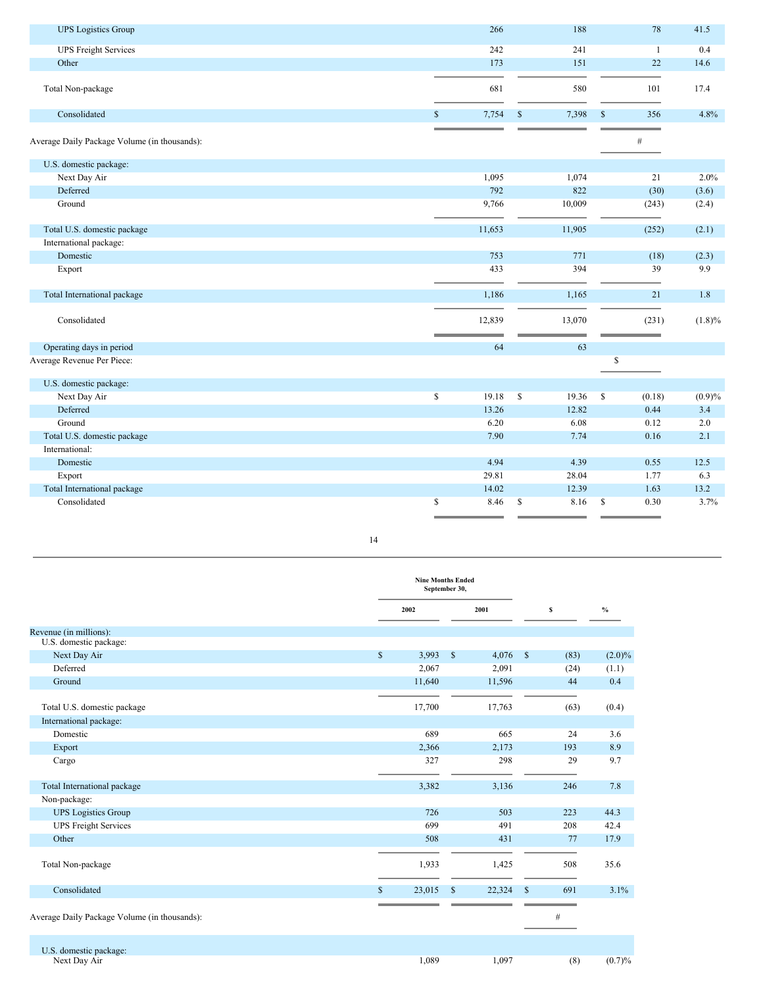| <b>UPS</b> Logistics Group                   |              | 266    |               | 188    |              | 78           | 41.5      |
|----------------------------------------------|--------------|--------|---------------|--------|--------------|--------------|-----------|
| <b>UPS Freight Services</b>                  |              | 242    |               | 241    |              | $\mathbf{1}$ | 0.4       |
| Other                                        |              | 173    |               | 151    |              | 22           | 14.6      |
|                                              |              | 681    |               | 580    |              | 101          | 17.4      |
| Total Non-package                            |              |        |               |        |              |              |           |
| Consolidated                                 | S            | 7,754  | $\mathbb{S}$  | 7,398  | $\mathbb{S}$ | 356          | 4.8%      |
| Average Daily Package Volume (in thousands): |              |        |               |        |              | $\#$         |           |
| U.S. domestic package:                       |              |        |               |        |              |              |           |
| Next Day Air                                 |              | 1,095  |               | 1,074  |              | 21           | 2.0%      |
| Deferred                                     |              | 792    |               | 822    |              | (30)         | (3.6)     |
| Ground                                       |              | 9,766  |               | 10,009 |              | (243)        | (2.4)     |
| Total U.S. domestic package                  |              | 11,653 |               | 11,905 |              | (252)        | (2.1)     |
| International package:                       |              |        |               |        |              |              |           |
| Domestic                                     |              | 753    |               | 771    |              | (18)         | (2.3)     |
| Export                                       |              | 433    |               | 394    |              | 39           | 9.9       |
| Total International package                  |              | 1,186  |               | 1,165  |              | 21           | 1.8       |
| Consolidated                                 |              | 12,839 | 13,070        |        |              | (231)        | $(1.8)\%$ |
| Operating days in period                     |              | 64     |               | 63     |              |              |           |
| Average Revenue Per Piece:                   |              |        |               |        | \$           |              |           |
| U.S. domestic package:                       |              |        |               |        |              |              |           |
| Next Day Air                                 | $\mathbb{S}$ | 19.18  | $\mathcal{S}$ | 19.36  | $\mathbb{S}$ | (0.18)       | $(0.9)\%$ |
| Deferred                                     |              | 13.26  |               | 12.82  |              | 0.44         | 3.4       |
| Ground                                       |              | 6.20   |               | 6.08   |              | 0.12         | 2.0       |
| Total U.S. domestic package                  |              | 7.90   |               | 7.74   |              | 0.16         | 2.1       |
| International:                               |              |        |               |        |              |              |           |
| Domestic                                     |              | 4.94   |               | 4.39   |              | 0.55         | 12.5      |
| Export                                       |              | 29.81  |               | 28.04  |              | 1.77         | 6.3       |
| Total International package                  |              | 14.02  |               | 12.39  |              | 1.63         | 13.2      |
| Consolidated                                 | \$           | 8.46   | \$            | 8.16   | $\mathbb{S}$ | 0.30         | 3.7%      |

f,

|                                              |              | <b>Nine Months Ended</b><br>September 30, |                      |                                  |  |  |  |
|----------------------------------------------|--------------|-------------------------------------------|----------------------|----------------------------------|--|--|--|
|                                              | 2002         | 2001                                      | s                    | $\boldsymbol{\theta}/_{\!\!\!0}$ |  |  |  |
| Revenue (in millions):                       |              |                                           |                      |                                  |  |  |  |
| U.S. domestic package:                       |              |                                           |                      |                                  |  |  |  |
| Next Day Air                                 | \$<br>3,993  | $\mathbb{S}$<br>4,076                     | $\mathbb{S}$<br>(83) | $(2.0)\%$                        |  |  |  |
| Deferred                                     | 2,067        | 2,091                                     | (24)                 | (1.1)                            |  |  |  |
| Ground                                       | 11,640       | 11,596                                    | 44                   | 0.4                              |  |  |  |
|                                              |              |                                           |                      |                                  |  |  |  |
| Total U.S. domestic package                  | 17,700       | 17,763                                    | (63)                 | (0.4)                            |  |  |  |
| International package:                       |              |                                           |                      |                                  |  |  |  |
| Domestic                                     | 689          | 665                                       | 24                   | 3.6                              |  |  |  |
| Export                                       | 2,366        | 2,173                                     | 193                  | 8.9                              |  |  |  |
| Cargo                                        | 327          | 298                                       | 29                   | 9.7                              |  |  |  |
|                                              |              |                                           |                      |                                  |  |  |  |
| Total International package                  | 3,382        | 3,136                                     | 246                  | 7.8                              |  |  |  |
| Non-package:                                 |              |                                           |                      |                                  |  |  |  |
| <b>UPS Logistics Group</b>                   | 726          | 503                                       | 223                  | 44.3                             |  |  |  |
| <b>UPS Freight Services</b>                  | 699          | 491                                       | 208                  | 42.4                             |  |  |  |
| Other                                        | 508          | 431                                       | 77                   | 17.9                             |  |  |  |
|                                              |              |                                           |                      |                                  |  |  |  |
| Total Non-package                            | 1,933        | 1,425                                     | 508                  | 35.6                             |  |  |  |
|                                              |              |                                           |                      |                                  |  |  |  |
| Consolidated                                 | 23,015<br>\$ | $\mathbb{S}$<br>22,324                    | 691<br>$\mathbb{S}$  | 3.1%                             |  |  |  |
|                                              |              |                                           |                      |                                  |  |  |  |
| Average Daily Package Volume (in thousands): |              |                                           | $\#$                 |                                  |  |  |  |
|                                              |              |                                           |                      |                                  |  |  |  |
| U.S. domestic package:<br>Next Day Air       | 1,089        | 1,097                                     | (8)                  | (0.7)%                           |  |  |  |
|                                              |              |                                           |                      |                                  |  |  |  |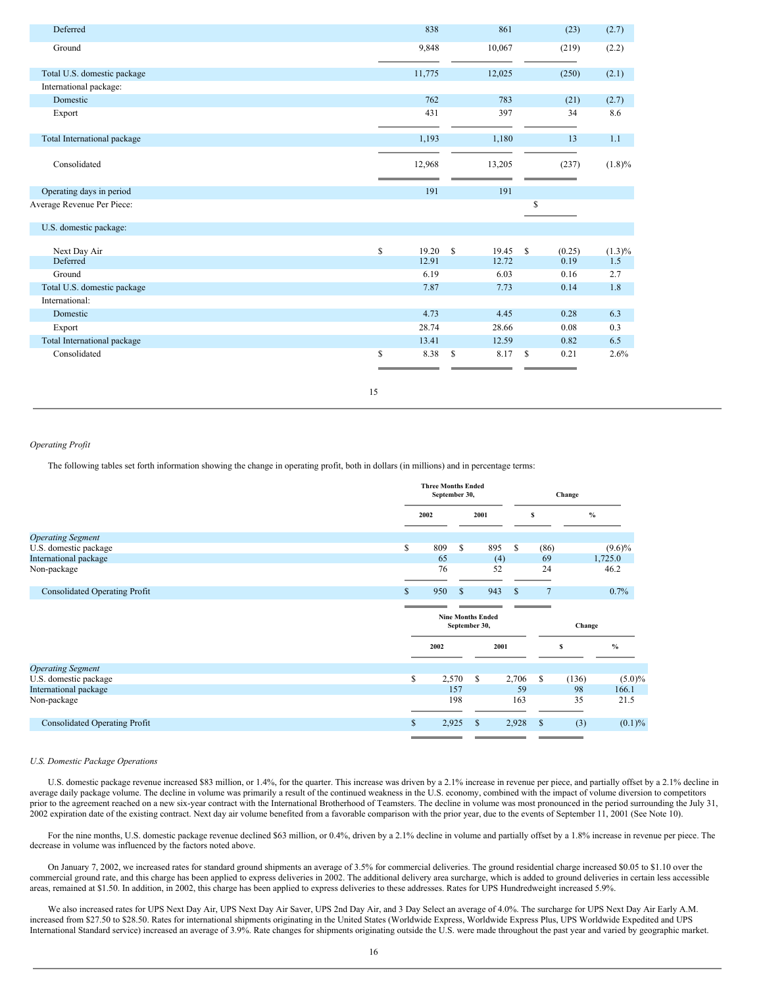| Deferred                    | 838                  | 861                             | (23)                | (2.7)            |
|-----------------------------|----------------------|---------------------------------|---------------------|------------------|
| Ground                      | 9,848                | 10,067                          | (219)               | (2.2)            |
| Total U.S. domestic package | 11,775               | 12,025                          | (250)               | (2.1)            |
| International package:      |                      |                                 |                     |                  |
| Domestic                    | 762                  | 783                             | (21)                | (2.7)            |
| Export                      | 431                  | 397                             | 34                  | 8.6              |
| Total International package | 1,193                | 1,180                           | 13                  | 1.1              |
| Consolidated                | 12,968               | 13,205                          | (237)               | $(1.8)\%$        |
| Operating days in period    | 191                  | 191                             |                     |                  |
| Average Revenue Per Piece:  |                      |                                 | \$                  |                  |
| U.S. domestic package:      |                      |                                 |                     |                  |
| Next Day Air<br>Deferred    | \$<br>19.20<br>12.91 | <sup>\$</sup><br>19.45<br>12.72 | S<br>(0.25)<br>0.19 | $(1.3)\%$<br>1.5 |
| Ground                      | 6.19                 | 6.03                            | 0.16                | 2.7              |
| Total U.S. domestic package | 7.87                 | 7.73                            | 0.14                | 1.8              |
| International:              |                      |                                 |                     |                  |
| Domestic                    | 4.73                 | 4.45                            | 0.28                | 6.3              |
| Export                      | 28.74                | 28.66                           | 0.08                | 0.3              |
| Total International package | 13.41                | 12.59                           | 0.82                | 6.5              |
| Consolidated                | \$<br>8.38           | \$<br>8.17                      | $\mathbb S$<br>0.21 | 2.6%             |

15

## *Operating Profit*

The following tables set forth information showing the change in operating profit, both in dollars (in millions) and in percentage terms:

|                                      |    | <b>Three Months Ended</b><br>September 30, |       |               |                          |        |                |       |           |
|--------------------------------------|----|--------------------------------------------|-------|---------------|--------------------------|--------|----------------|-------|-----------|
|                                      |    | 2002<br>2001                               |       | s             |                          | $\%$   |                |       |           |
| <b>Operating Segment</b>             |    |                                            |       |               |                          |        |                |       |           |
| U.S. domestic package                | S  |                                            | 809   | \$            | 895                      | S      | (86)           |       | $(9.6)\%$ |
| International package                |    |                                            | 65    |               | (4)                      |        | 69             |       | 1,725.0   |
| Non-package                          |    |                                            | 76    |               | 52                       |        | 24             |       | 46.2      |
| <b>Consolidated Operating Profit</b> | \$ |                                            | 950   | <sup>\$</sup> | 943                      | S      | $\overline{7}$ |       | 0.7%      |
|                                      |    |                                            |       | September 30, | <b>Nine Months Ended</b> | Change |                |       |           |
|                                      |    |                                            | 2002  |               | 2001                     |        |                | s     | $\%$      |
| <b>Operating Segment</b>             |    |                                            |       |               |                          |        |                |       |           |
| U.S. domestic package                |    | \$                                         | 2,570 |               | \$                       | 2,706  | <sup>\$</sup>  | (136) | $(5.0)\%$ |
| International package                |    |                                            |       | 157           |                          | 59     |                | 98    | 166.1     |
| Non-package                          |    |                                            |       | 198           |                          | 163    |                | 35    | 21.5      |
| <b>Consolidated Operating Profit</b> |    | $\mathbb{S}$                               | 2,925 |               | <sup>\$</sup>            | 2,928  | \$             | (3)   | $(0.1)\%$ |
|                                      |    |                                            |       |               |                          |        |                |       |           |

## *U.S. Domestic Package Operations*

U.S. domestic package revenue increased \$83 million, or 1.4%, for the quarter. This increase was driven by a 2.1% increase in revenue per piece, and partially offset by a 2.1% decline in average daily package volume. The decline in volume was primarily a result of the continued weakness in the U.S. economy, combined with the impact of volume diversion to competitors prior to the agreement reached on a new six-year contract with the International Brotherhood of Teamsters. The decline in volume was most pronounced in the period surrounding the July 31, 2002 expiration date of the existing contract. Next day air volume benefited from a favorable comparison with the prior year, due to the events of September 11, 2001 (See Note 10).

For the nine months, U.S. domestic package revenue declined \$63 million, or 0.4%, driven by a 2.1% decline in volume and partially offset by a 1.8% increase in revenue per piece. The decrease in volume was influenced by the factors noted above.

On January 7, 2002, we increased rates for standard ground shipments an average of 3.5% for commercial deliveries. The ground residential charge increased \$0.05 to \$1.10 over the commercial ground rate, and this charge has been applied to express deliveries in 2002. The additional delivery area surcharge, which is added to ground deliveries in certain less accessible areas, remained at \$1.50. In addition, in 2002, this charge has been applied to express deliveries to these addresses. Rates for UPS Hundredweight increased 5.9%.

We also increased rates for UPS Next Day Air, UPS Next Day Air Saver, UPS 2nd Day Air, and 3 Day Select an average of 4.0%. The surcharge for UPS Next Day Air Early A.M. increased from \$27.50 to \$28.50. Rates for international shipments originating in the United States (Worldwide Express, Worldwide Express Plus, UPS Worldwide Expedited and UPS International Standard service) increased an average of 3.9%. Rate changes for shipments originating outside the U.S. were made throughout the past year and varied by geographic market.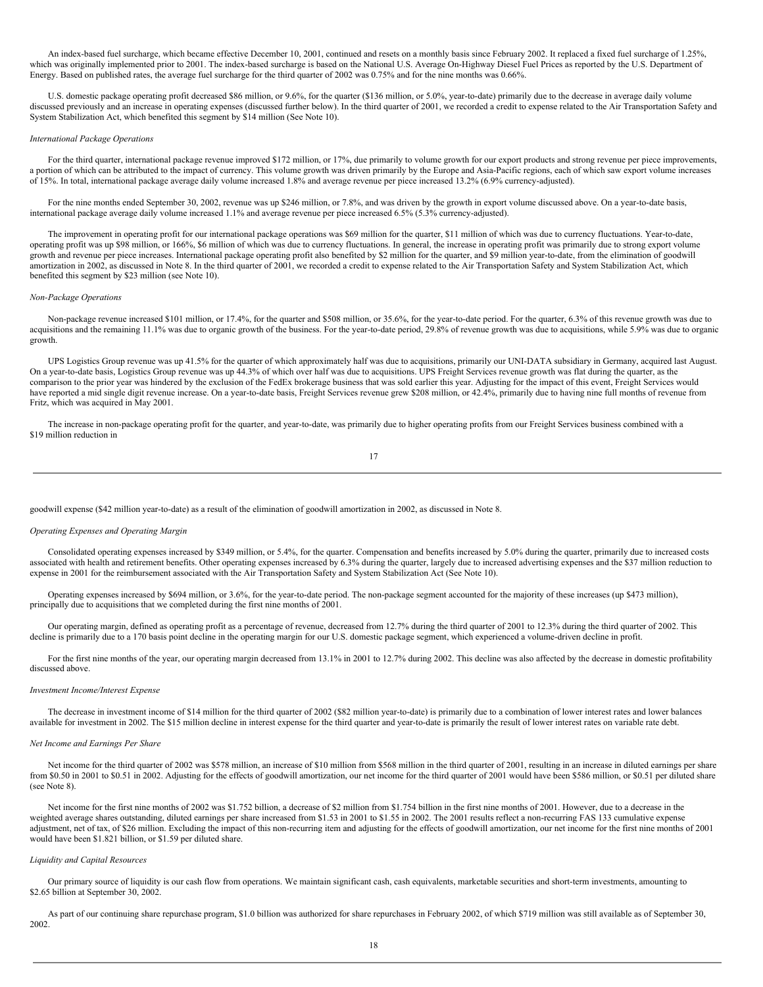An index-based fuel surcharge, which became effective December 10, 2001, continued and resets on a monthly basis since February 2002. It replaced a fixed fuel surcharge of 1.25%, which was originally implemented prior to 2001. The index-based surcharge is based on the National U.S. Average On-Highway Diesel Fuel Prices as reported by the U.S. Department of Energy. Based on published rates, the average fuel surcharge for the third quarter of 2002 was 0.75% and for the nine months was 0.66%.

U.S. domestic package operating profit decreased \$86 million, or 9.6%, for the quarter (\$136 million, or 5.0%, year-to-date) primarily due to the decrease in average daily volume discussed previously and an increase in operating expenses (discussed further below). In the third quarter of 2001, we recorded a credit to expense related to the Air Transportation Safety and System Stabilization Act, which benefited this segment by \$14 million (See Note 10).

#### *International Package Operations*

For the third quarter, international package revenue improved \$172 million, or 17%, due primarily to volume growth for our export products and strong revenue per piece improvements, a portion of which can be attributed to the impact of currency. This volume growth was driven primarily by the Europe and Asia-Pacific regions, each of which saw export volume increases of 15%. In total, international package average daily volume increased 1.8% and average revenue per piece increased 13.2% (6.9% currency-adjusted).

For the nine months ended September 30, 2002, revenue was up \$246 million, or 7.8%, and was driven by the growth in export volume discussed above. On a year-to-date basis, international package average daily volume increased 1.1% and average revenue per piece increased 6.5% (5.3% currency-adjusted).

The improvement in operating profit for our international package operations was \$69 million for the quarter, \$11 million of which was due to currency fluctuations. Year-to-date, operating profit was up \$98 million, or 166%, \$6 million of which was due to currency fluctuations. In general, the increase in operating profit was primarily due to strong export volume growth and revenue per piece increases. International package operating profit also benefited by \$2 million for the quarter, and \$9 million year-to-date, from the elimination of goodwill amortization in 2002, as discussed in Note 8. In the third quarter of 2001, we recorded a credit to expense related to the Air Transportation Safety and System Stabilization Act, which benefited this segment by \$23 million (see Note 10).

#### *Non-Package Operations*

Non-package revenue increased \$101 million, or 17.4%, for the quarter and \$508 million, or 35.6%, for the year-to-date period. For the quarter, 6.3% of this revenue growth was due to acquisitions and the remaining 11.1% was due to organic growth of the business. For the year-to-date period, 29.8% of revenue growth was due to acquisitions, while 5.9% was due to organic growth.

UPS Logistics Group revenue was up 41.5% for the quarter of which approximately half was due to acquisitions, primarily our UNI-DATA subsidiary in Germany, acquired last August. On a year-to-date basis, Logistics Group revenue was up 44.3% of which over half was due to acquisitions. UPS Freight Services revenue growth was flat during the quarter, as the comparison to the prior year was hindered by the exclusion of the FedEx brokerage business that was sold earlier this year. Adjusting for the impact of this event, Freight Services would have reported a mid single digit revenue increase. On a year-to-date basis, Freight Services revenue grew \$208 million, or 42.4%, primarily due to having nine full months of revenue from Fritz, which was acquired in May 2001.

The increase in non-package operating profit for the quarter, and year-to-date, was primarily due to higher operating profits from our Freight Services business combined with a \$19 million reduction in

```
17
```
goodwill expense (\$42 million year-to-date) as a result of the elimination of goodwill amortization in 2002, as discussed in Note 8.

#### *Operating Expenses and Operating Margin*

Consolidated operating expenses increased by \$349 million, or 5.4%, for the quarter. Compensation and benefits increased by 5.0% during the quarter, primarily due to increased costs associated with health and retirement benefits. Other operating expenses increased by 6.3% during the quarter, largely due to increased advertising expenses and the \$37 million reduction to expense in 2001 for the reimbursement associated with the Air Transportation Safety and System Stabilization Act (See Note 10).

Operating expenses increased by \$694 million, or 3.6%, for the year-to-date period. The non-package segment accounted for the majority of these increases (up \$473 million), principally due to acquisitions that we completed during the first nine months of 2001.

Our operating margin, defined as operating profit as a percentage of revenue, decreased from 12.7% during the third quarter of 2001 to 12.3% during the third quarter of 2002. This decline is primarily due to a 170 basis point decline in the operating margin for our U.S. domestic package segment, which experienced a volume-driven decline in profit.

For the first nine months of the year, our operating margin decreased from 13.1% in 2001 to 12.7% during 2002. This decline was also affected by the decrease in domestic profitability discussed above.

## *Investment Income/Interest Expense*

The decrease in investment income of \$14 million for the third quarter of 2002 (\$82 million year-to-date) is primarily due to a combination of lower interest rates and lower balances available for investment in 2002. The \$15 million decline in interest expense for the third quarter and year-to-date is primarily the result of lower interest rates on variable rate debt.

#### *Net Income and Earnings Per Share*

Net income for the third quarter of 2002 was \$578 million, an increase of \$10 million from \$568 million in the third quarter of 2001, resulting in an increase in diluted earnings per share from \$0.50 in 2001 to \$0.51 in 2002. Adjusting for the effects of goodwill amortization, our net income for the third quarter of 2001 would have been \$586 million, or \$0.51 per diluted share (see Note 8).

Net income for the first nine months of 2002 was \$1.752 billion, a decrease of \$2 million from \$1.754 billion in the first nine months of 2001. However, due to a decrease in the weighted average shares outstanding, diluted earnings per share increased from \$1.53 in 2001 to \$1.55 in 2002. The 2001 results reflect a non-recurring FAS 133 cumulative expense adjustment, net of tax, of \$26 million. Excluding the impact of this non-recurring item and adjusting for the effects of goodwill amortization, our net income for the first nine months of 2001 would have been \$1.821 billion, or \$1.59 per diluted share.

#### *Liquidity and Capital Resources*

Our primary source of liquidity is our cash flow from operations. We maintain significant cash, cash equivalents, marketable securities and short-term investments, amounting to \$2.65 billion at September 30, 2002.

As part of our continuing share repurchase program, \$1.0 billion was authorized for share repurchases in February 2002, of which \$719 million was still available as of September 30, 2002.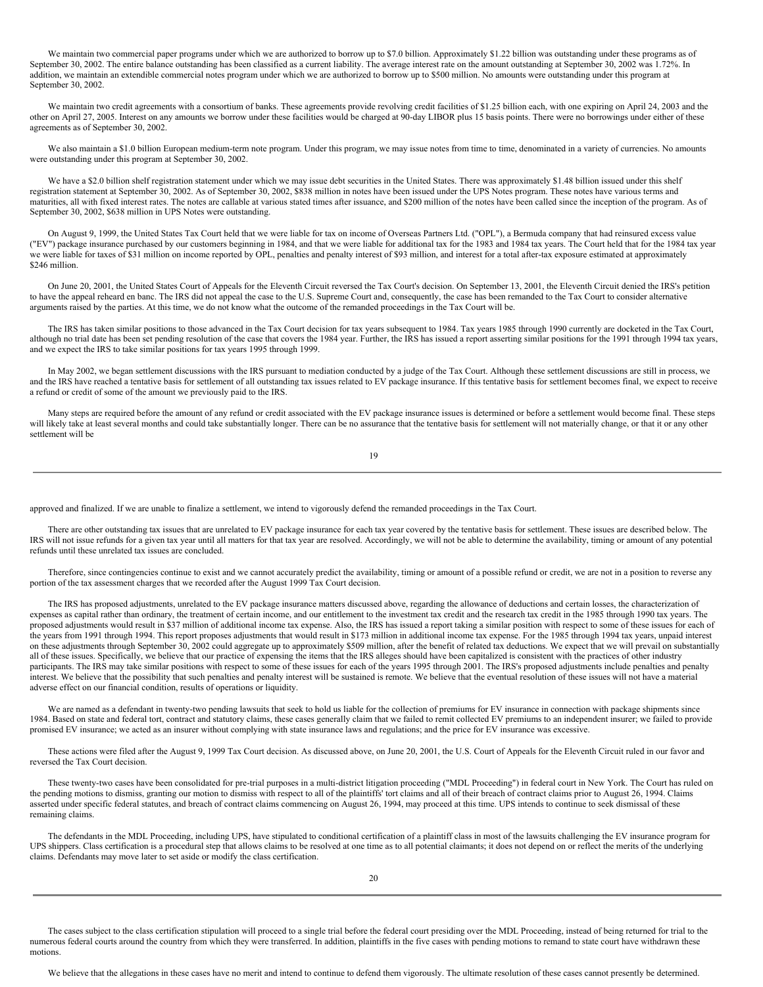We maintain two commercial paper programs under which we are authorized to borrow up to \$7.0 billion. Approximately \$1.22 billion was outstanding under these programs as of September 30, 2002. The entire balance outstanding has been classified as a current liability. The average interest rate on the amount outstanding at September 30, 2002 was 1.72%. In addition, we maintain an extendible commercial notes program under which we are authorized to borrow up to \$500 million. No amounts were outstanding under this program at September 30, 2002.

We maintain two credit agreements with a consortium of banks. These agreements provide revolving credit facilities of \$1.25 billion each, with one expiring on April 24, 2003 and the other on April 27, 2005. Interest on any amounts we borrow under these facilities would be charged at 90-day LIBOR plus 15 basis points. There were no borrowings under either of these agreements as of September 30, 2002.

We also maintain a \$1.0 billion European medium-term note program. Under this program, we may issue notes from time to time, denominated in a variety of currencies. No amounts were outstanding under this program at September 30, 2002.

We have a \$2.0 billion shelf registration statement under which we may issue debt securities in the United States. There was approximately \$1.48 billion issued under this shelf registration statement at September 30, 2002. As of September 30, 2002, \$838 million in notes have been issued under the UPS Notes program. These notes have various terms and maturities, all with fixed interest rates. The notes are callable at various stated times after issuance, and \$200 million of the notes have been called since the inception of the program. As of September 30, 2002, \$638 million in UPS Notes were outstanding.

On August 9, 1999, the United States Tax Court held that we were liable for tax on income of Overseas Partners Ltd. ("OPL"), a Bermuda company that had reinsured excess value ("EV") package insurance purchased by our customers beginning in 1984, and that we were liable for additional tax for the 1983 and 1984 tax years. The Court held that for the 1984 tax year we were liable for taxes of \$31 million on income reported by OPL, penalties and penalty interest of \$93 million, and interest for a total after-tax exposure estimated at approximately \$246 million.

On June 20, 2001, the United States Court of Appeals for the Eleventh Circuit reversed the Tax Court's decision. On September 13, 2001, the Eleventh Circuit denied the IRS's petition to have the appeal reheard en banc. The IRS did not appeal the case to the U.S. Supreme Court and, consequently, the case has been remanded to the Tax Court to consider alternative arguments raised by the parties. At this time, we do not know what the outcome of the remanded proceedings in the Tax Court will be.

The IRS has taken similar positions to those advanced in the Tax Court decision for tax years subsequent to 1984. Tax years 1985 through 1990 currently are docketed in the Tax Court, although no trial date has been set pending resolution of the case that covers the 1984 year. Further, the IRS has issued a report asserting similar positions for the 1991 through 1994 tax years, and we expect the IRS to take similar positions for tax years 1995 through 1999.

In May 2002, we began settlement discussions with the IRS pursuant to mediation conducted by a judge of the Tax Court. Although these settlement discussions are still in process, we and the IRS have reached a tentative basis for settlement of all outstanding tax issues related to EV package insurance. If this tentative basis for settlement becomes final, we expect to receive a refund or credit of some of the amount we previously paid to the IRS.

Many steps are required before the amount of any refund or credit associated with the EV package insurance issues is determined or before a settlement would become final. These steps will likely take at least several months and could take substantially longer. There can be no assurance that the tentative basis for settlement will not materially change, or that it or any other settlement will be

19

approved and finalized. If we are unable to finalize a settlement, we intend to vigorously defend the remanded proceedings in the Tax Court.

There are other outstanding tax issues that are unrelated to EV package insurance for each tax year covered by the tentative basis for settlement. These issues are described below. The IRS will not issue refunds for a given tax year until all matters for that tax year are resolved. Accordingly, we will not be able to determine the availability, timing or amount of any potential refunds until these unrelated tax issues are concluded.

Therefore, since contingencies continue to exist and we cannot accurately predict the availability, timing or amount of a possible refund or credit, we are not in a position to reverse any portion of the tax assessment charges that we recorded after the August 1999 Tax Court decision.

The IRS has proposed adjustments, unrelated to the EV package insurance matters discussed above, regarding the allowance of deductions and certain losses, the characterization of expenses as capital rather than ordinary, the treatment of certain income, and our entitlement to the investment tax credit and the research tax credit in the 1985 through 1990 tax years. The proposed adjustments would result in \$37 million of additional income tax expense. Also, the IRS has issued a report taking a similar position with respect to some of these issues for each of the years from 1991 through 1994. This report proposes adjustments that would result in \$173 million in additional income tax expense. For the 1985 through 1994 tax years, unpaid interest on these adjustments through September 30, 2002 could aggregate up to approximately \$509 million, after the benefit of related tax deductions. We expect that we will prevail on substantially all of these issues. Specifically, we believe that our practice of expensing the items that the IRS alleges should have been capitalized is consistent with the practices of other industry participants. The IRS may take similar positions with respect to some of these issues for each of the years 1995 through 2001. The IRS's proposed adjustments include penalties and penalty interest. We believe that the possibility that such penalties and penalty interest will be sustained is remote. We believe that the eventual resolution of these issues will not have a material adverse effect on our financial condition, results of operations or liquidity.

We are named as a defendant in twenty-two pending lawsuits that seek to hold us liable for the collection of premiums for EV insurance in connection with package shipments since 1984. Based on state and federal tort, contract and statutory claims, these cases generally claim that we failed to remit collected EV premiums to an independent insurer; we failed to provide promised EV insurance; we acted as an insurer without complying with state insurance laws and regulations; and the price for EV insurance was excessive.

These actions were filed after the August 9, 1999 Tax Court decision. As discussed above, on June 20, 2001, the U.S. Court of Appeals for the Eleventh Circuit ruled in our favor and reversed the Tax Court decision.

These twenty-two cases have been consolidated for pre-trial purposes in a multi-district litigation proceeding ("MDL Proceeding") in federal court in New York. The Court has ruled on the pending motions to dismiss, granting our motion to dismiss with respect to all of the plaintiffs' tort claims and all of their breach of contract claims prior to August 26, 1994. Claims asserted under specific federal statutes, and breach of contract claims commencing on August 26, 1994, may proceed at this time. UPS intends to continue to seek dismissal of these remaining claims.

The defendants in the MDL Proceeding, including UPS, have stipulated to conditional certification of a plaintiff class in most of the lawsuits challenging the EV insurance program for UPS shippers. Class certification is a procedural step that allows claims to be resolved at one time as to all potential claimants; it does not depend on or reflect the merits of the underlying claims. Defendants may move later to set aside or modify the class certification.

The cases subject to the class certification stipulation will proceed to a single trial before the federal court presiding over the MDL Proceeding, instead of being returned for trial to the numerous federal courts around the country from which they were transferred. In addition, plaintiffs in the five cases with pending motions to remand to state court have withdrawn these motions.

We believe that the allegations in these cases have no merit and intend to continue to defend them vigorously. The ultimate resolution of these cases cannot presently be determined.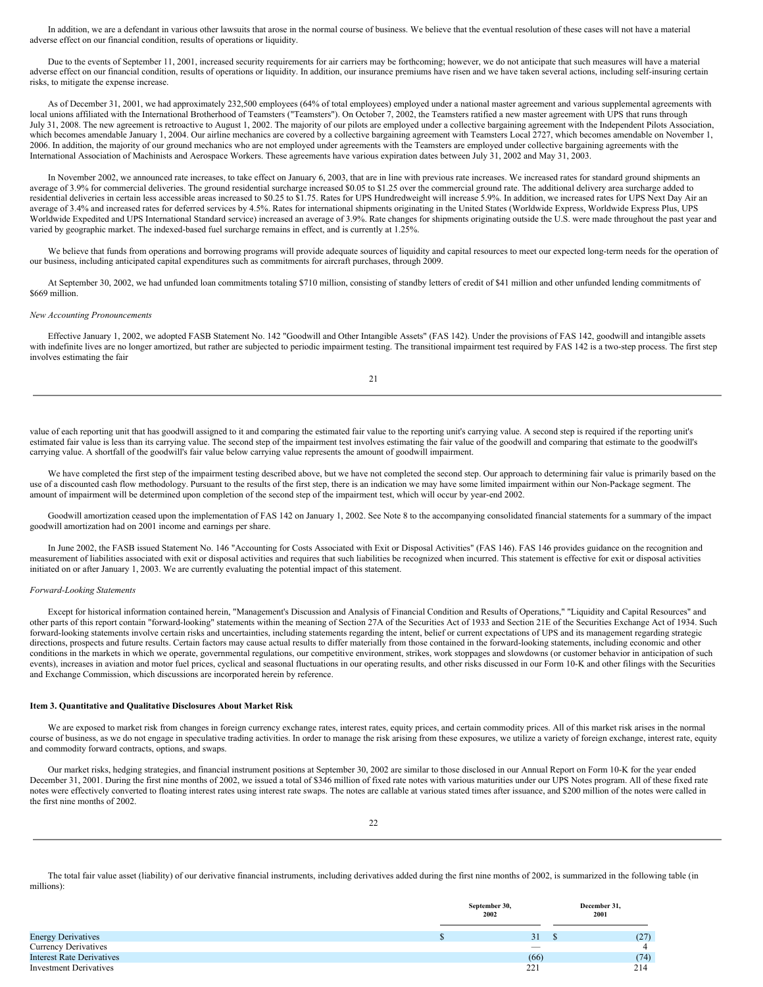In addition, we are a defendant in various other lawsuits that arose in the normal course of business. We believe that the eventual resolution of these cases will not have a material adverse effect on our financial condition, results of operations or liquidity.

Due to the events of September 11, 2001, increased security requirements for air carriers may be forthcoming; however, we do not anticipate that such measures will have a material adverse effect on our financial condition, results of operations or liquidity. In addition, our insurance premiums have risen and we have taken several actions, including self-insuring certain risks, to mitigate the expense increase.

As of December 31, 2001, we had approximately 232,500 employees (64% of total employees) employed under a national master agreement and various supplemental agreements with local unions affiliated with the International Brotherhood of Teamsters ("Teamsters"). On October 7, 2002, the Teamsters ratified a new master agreement with UPS that runs through July 31, 2008. The new agreement is retroactive to August 1, 2002. The majority of our pilots are employed under a collective bargaining agreement with the Independent Pilots Association, which becomes amendable January 1, 2004. Our airline mechanics are covered by a collective bargaining agreement with Teamsters Local 2727, which becomes amendable on November 1, 2006. In addition, the majority of our ground mechanics who are not employed under agreements with the Teamsters are employed under collective bargaining agreements with the International Association of Machinists and Aerospace Workers. These agreements have various expiration dates between July 31, 2002 and May 31, 2003.

In November 2002, we announced rate increases, to take effect on January 6, 2003, that are in line with previous rate increases. We increased rates for standard ground shipments an average of 3.9% for commercial deliveries. The ground residential surcharge increased \$0.05 to \$1.25 over the commercial ground rate. The additional delivery area surcharge added to residential deliveries in certain less accessible areas increased to \$0.25 to \$1.75. Rates for UPS Hundredweight will increase 5.9%. In addition, we increased rates for UPS Next Day Air an average of 3.4% and increased rates for deferred services by 4.5%. Rates for international shipments originating in the United States (Worldwide Express, Worldwide Express Plus, UPS Worldwide Expedited and UPS International Standard service) increased an average of 3.9%. Rate changes for shipments originating outside the U.S. were made throughout the past year and varied by geographic market. The indexed-based fuel surcharge remains in effect, and is currently at 1.25%.

We believe that funds from operations and borrowing programs will provide adequate sources of liquidity and capital resources to meet our expected long-term needs for the operation of our business, including anticipated capital expenditures such as commitments for aircraft purchases, through 2009.

At September 30, 2002, we had unfunded loan commitments totaling \$710 million, consisting of standby letters of credit of \$41 million and other unfunded lending commitments of \$669 million.

#### *New Accounting Pronouncements*

Effective January 1, 2002, we adopted FASB Statement No. 142 "Goodwill and Other Intangible Assets" (FAS 142). Under the provisions of FAS 142, goodwill and intangible assets with indefinite lives are no longer amortized, but rather are subjected to periodic impairment testing. The transitional impairment test required by FAS 142 is a two-step process. The first step involves estimating the fair

value of each reporting unit that has goodwill assigned to it and comparing the estimated fair value to the reporting unit's carrying value. A second step is required if the reporting unit's estimated fair value is less than its carrying value. The second step of the impairment test involves estimating the fair value of the goodwill and comparing that estimate to the goodwill's carrying value. A shortfall of the goodwill's fair value below carrying value represents the amount of goodwill impairment.

We have completed the first step of the impairment testing described above, but we have not completed the second step. Our approach to determining fair value is primarily based on the use of a discounted cash flow methodology. Pursuant to the results of the first step, there is an indication we may have some limited impairment within our Non-Package segment. The amount of impairment will be determined upon completion of the second step of the impairment test, which will occur by year-end 2002.

Goodwill amortization ceased upon the implementation of FAS 142 on January 1, 2002. See Note 8 to the accompanying consolidated financial statements for a summary of the impact goodwill amortization had on 2001 income and earnings per share.

In June 2002, the FASB issued Statement No. 146 "Accounting for Costs Associated with Exit or Disposal Activities" (FAS 146). FAS 146 provides guidance on the recognition and measurement of liabilities associated with exit or disposal activities and requires that such liabilities be recognized when incurred. This statement is effective for exit or disposal activities initiated on or after January 1, 2003. We are currently evaluating the potential impact of this statement.

#### *Forward-Looking Statements*

Except for historical information contained herein, "Management's Discussion and Analysis of Financial Condition and Results of Operations," "Liquidity and Capital Resources" and other parts of this report contain "forward-looking" statements within the meaning of Section 27A of the Securities Act of 1933 and Section 21E of the Securities Exchange Act of 1934. Such forward-looking statements involve certain risks and uncertainties, including statements regarding the intent, belief or current expectations of UPS and its management regarding strategic directions, prospects and future results. Certain factors may cause actual results to differ materially from those contained in the forward-looking statements, including economic and other conditions in the markets in which we operate, governmental regulations, our competitive environment, strikes, work stoppages and slowdowns (or customer behavior in anticipation of such events), increases in aviation and motor fuel prices, cyclical and seasonal fluctuations in our operating results, and other risks discussed in our Form 10-K and other filings with the Securities and Exchange Commission, which discussions are incorporated herein by reference.

#### <span id="page-12-0"></span>**Item 3. Quantitative and Qualitative Disclosures About Market Risk**

We are exposed to market risk from changes in foreign currency exchange rates, interest rates, equity prices, and certain commodity prices. All of this market risk arises in the normal course of business, as we do not engage in speculative trading activities. In order to manage the risk arising from these exposures, we utilize a variety of foreign exchange, interest rate, equity and commodity forward contracts, options, and swaps.

Our market risks, hedging strategies, and financial instrument positions at September 30, 2002 are similar to those disclosed in our Annual Report on Form 10-K for the year ended December 31, 2001. During the first nine months of 2002, we issued a total of \$346 million of fixed rate notes with various maturities under our UPS Notes program. All of these fixed rate notes were effectively converted to floating interest rates using interest rate swaps. The notes are callable at various stated times after issuance, and \$200 million of the notes were called in the first nine months of 2002.

The total fair value asset (liability) of our derivative financial instruments, including derivatives added during the first nine months of 2002, is summarized in the following table (in millions):

|                                  |  | September 30,<br>2002    | December 31,<br>2001 |      |
|----------------------------------|--|--------------------------|----------------------|------|
| <b>Energy Derivatives</b>        |  | 31                       |                      | (27) |
| <b>Currency Derivatives</b>      |  | $\overline{\phantom{a}}$ |                      |      |
| <b>Interest Rate Derivatives</b> |  | (66)                     |                      | (74) |
| <b>Investment Derivatives</b>    |  | 221                      |                      | 214  |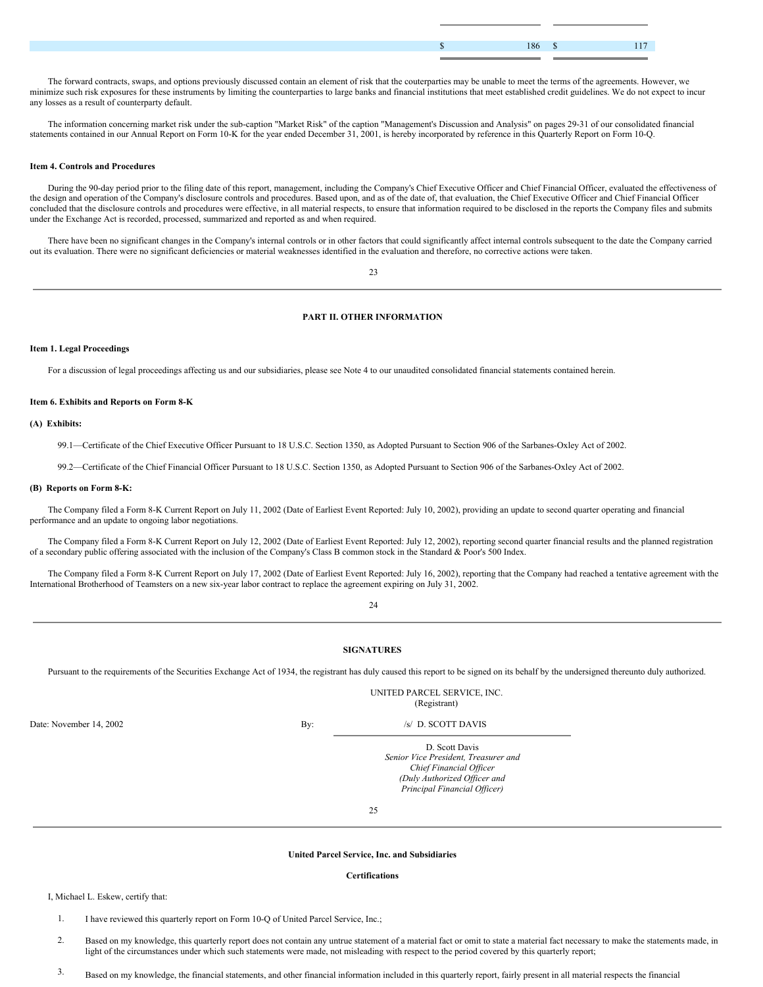The forward contracts, swaps, and options previously discussed contain an element of risk that the couterparties may be unable to meet the terms of the agreements. However, we minimize such risk exposures for these instruments by limiting the counterparties to large banks and financial institutions that meet established credit guidelines. We do not expect to incur any losses as a result of counterparty default.

The information concerning market risk under the sub-caption "Market Risk" of the caption "Management's Discussion and Analysis" on pages 29-31 of our consolidated financial statements contained in our Annual Report on Form 10-K for the year ended December 31, 2001, is hereby incorporated by reference in this Quarterly Report on Form 10-Q.

#### <span id="page-13-0"></span>**Item 4. Controls and Procedures**

During the 90-day period prior to the filing date of this report, management, including the Company's Chief Executive Officer and Chief Financial Officer, evaluated the effectiveness of the design and operation of the Company's disclosure controls and procedures. Based upon, and as of the date of, that evaluation, the Chief Executive Officer and Chief Financial Officer concluded that the disclosure controls and procedures were effective, in all material respects, to ensure that information required to be disclosed in the reports the Company files and submits under the Exchange Act is recorded, processed, summarized and reported as and when required.

There have been no significant changes in the Company's internal controls or in other factors that could significantly affect internal controls subsequent to the date the Company carried out its evaluation. There were no significant deficiencies or material weaknesses identified in the evaluation and therefore, no corrective actions were taken.

<span id="page-13-1"></span> $23$ 

# **PART II. OTHER INFORMATION**

## <span id="page-13-2"></span>**Item 1. Legal Proceedings**

For a discussion of legal proceedings affecting us and our subsidiaries, please see Note 4 to our unaudited consolidated financial statements contained herein.

#### <span id="page-13-3"></span>**Item 6. Exhibits and Reports on Form 8-K**

#### **(A) Exhibits:**

99.1—Certificate of the Chief Executive Officer Pursuant to 18 U.S.C. Section 1350, as Adopted Pursuant to Section 906 of the Sarbanes-Oxley Act of 2002.

99.2—Certificate of the Chief Financial Officer Pursuant to 18 U.S.C. Section 1350, as Adopted Pursuant to Section 906 of the Sarbanes-Oxley Act of 2002.

#### **(B) Reports on Form 8-K:**

The Company filed a Form 8-K Current Report on July 11, 2002 (Date of Earliest Event Reported: July 10, 2002), providing an update to second quarter operating and financial performance and an update to ongoing labor negotiations.

The Company filed a Form 8-K Current Report on July 12, 2002 (Date of Earliest Event Reported: July 12, 2002), reporting second quarter financial results and the planned registration of a secondary public offering associated with the inclusion of the Company's Class B common stock in the Standard & Poor's 500 Index.

The Company filed a Form 8-K Current Report on July 17, 2002 (Date of Earliest Event Reported: July 16, 2002), reporting that the Company had reached a tentative agreement with the International Brotherhood of Teamsters on a new six-year labor contract to replace the agreement expiring on July 31, 2002.

24

## <span id="page-13-4"></span>**SIGNATURES**

Pursuant to the requirements of the Securities Exchange Act of 1934, the registrant has duly caused this report to be signed on its behalf by the undersigned thereunto duly authorized.

UNITED PARCEL SERVICE, INC. (Registrant)

Date: November 14, 2002 By: /s/ D. SCOTT DAVIS

D. Scott Davis *Senior Vice President, Treasurer and Chief Financial Of icer (Duly Authorized Of icer and Principal Financial Of icer)*

<span id="page-13-5"></span>25

## **United Parcel Service, Inc. and Subsidiaries**

## **Certifications**

I, Michael L. Eskew, certify that:

1. I have reviewed this quarterly report on Form 10-Q of United Parcel Service, Inc.;

- 2. Based on my knowledge, this quarterly report does not contain any untrue statement of a material fact or omit to state a material fact necessary to make the statements made, in light of the circumstances under which such statements were made, not misleading with respect to the period covered by this quarterly report;
- 3. Based on my knowledge, the financial statements, and other financial information included in this quarterly report, fairly present in all material respects the financial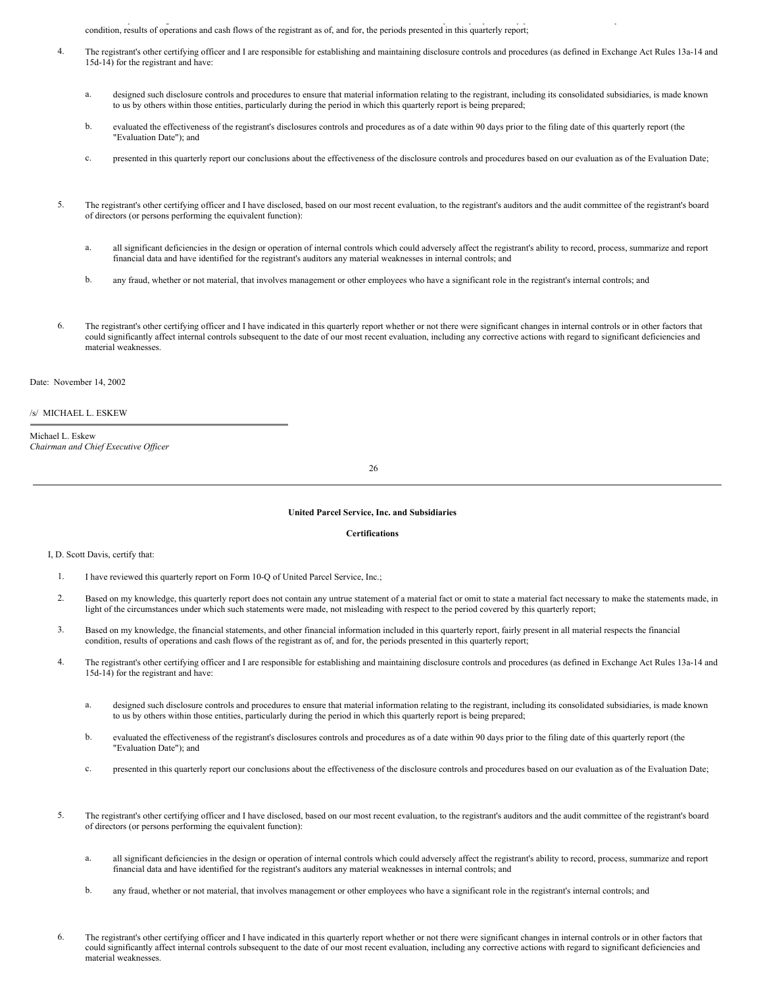condition, results of operations and cash flows of the registrant as of, and for, the periods presented in this quarterly report;

- 4. The registrant's other certifying officer and I are responsible for establishing and maintaining disclosure controls and procedures (as defined in Exchange Act Rules 13a-14 and 15d-14) for the registrant and have:
	- a. designed such disclosure controls and procedures to ensure that material information relating to the registrant, including its consolidated subsidiaries, is made known to us by others within those entities, particularly during the period in which this quarterly report is being prepared;
	- b. evaluated the effectiveness of the registrant's disclosures controls and procedures as of a date within 90 days prior to the filing date of this quarterly report (the "Evaluation Date"); and
	- c. presented in this quarterly report our conclusions about the effectiveness of the disclosure controls and procedures based on our evaluation as of the Evaluation Date;
- 5. The registrant's other certifying officer and I have disclosed, based on our most recent evaluation, to the registrant's auditors and the audit committee of the registrant's board of directors (or persons performing the equivalent function):
	- a. all significant deficiencies in the design or operation of internal controls which could adversely affect the registrant's ability to record, process, summarize and report financial data and have identified for the registrant's auditors any material weaknesses in internal controls; and
	- b. any fraud, whether or not material, that involves management or other employees who have a significant role in the registrant's internal controls; and
- 6. The registrant's other certifying officer and I have indicated in this quarterly report whether or not there were significant changes in internal controls or in other factors that could significantly affect internal controls subsequent to the date of our most recent evaluation, including any corrective actions with regard to significant deficiencies and material weaknesses.

Date: November 14, 2002

/s/ MICHAEL L. ESKEW

Michael L. Eskew *Chairman and Chief Executive Of icer*

<span id="page-14-0"></span>26

### **United Parcel Service, Inc. and Subsidiaries**

**Certifications**

I, D. Scott Davis, certify that:

- 1. I have reviewed this quarterly report on Form 10-Q of United Parcel Service, Inc.;
- 2. Based on my knowledge, this quarterly report does not contain any untrue statement of a material fact or omit to state a material fact necessary to make the statements made, in light of the circumstances under which such statements were made, not misleading with respect to the period covered by this quarterly report;
- 3. Based on my knowledge, the financial statements, and other financial information included in this quarterly report, fairly present in all material respects the financial condition, results of operations and cash flows of the registrant as of, and for, the periods presented in this quarterly report;
- 4. The registrant's other certifying officer and I are responsible for establishing and maintaining disclosure controls and procedures (as defined in Exchange Act Rules 13a-14 and 15d-14) for the registrant and have:
	- a. designed such disclosure controls and procedures to ensure that material information relating to the registrant, including its consolidated subsidiaries, is made known to us by others within those entities, particularly during the period in which this quarterly report is being prepared;
	- b. evaluated the effectiveness of the registrant's disclosures controls and procedures as of a date within 90 days prior to the filing date of this quarterly report (the "Evaluation Date"); and
	- c. presented in this quarterly report our conclusions about the effectiveness of the disclosure controls and procedures based on our evaluation as of the Evaluation Date;
- 5. The registrant's other certifying officer and I have disclosed, based on our most recent evaluation, to the registrant's auditors and the audit committee of the registrant's board of directors (or persons performing the equivalent function):
	- a. all significant deficiencies in the design or operation of internal controls which could adversely affect the registrant's ability to record, process, summarize and report financial data and have identified for the registrant's auditors any material weaknesses in internal controls; and
	- b. any fraud, whether or not material, that involves management or other employees who have a significant role in the registrant's internal controls; and
- 6. The registrant's other certifying officer and I have indicated in this quarterly report whether or not there were significant changes in internal controls or in other factors that could significantly affect internal controls subsequent to the date of our most recent evaluation, including any corrective actions with regard to significant deficiencies and material weaknesses.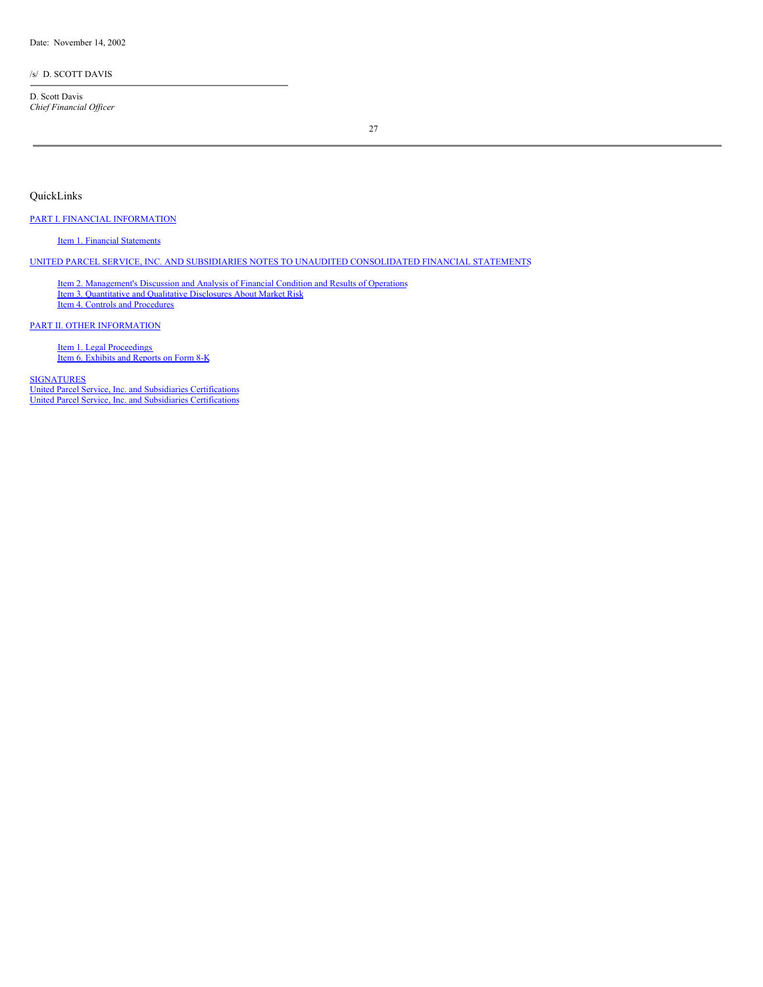Date: November 14, 2002

/s/ D. SCOTT DAVIS

D. Scott Davis *Chief Financial Of icer*

27

<span id="page-15-0"></span>QuickLinks

PART I. FINANCIAL [INFORMATION](#page-0-0)

Item 1. Financial [Statements](#page-0-1)

UNITED PARCEL SERVICE, INC. AND SUBSIDIARIES NOTES TO UNAUDITED [CONSOLIDATED](#page-3-0) FINANCIAL STATEMENTS

Item 2. [Management's](#page-7-0) Discussion and Analysis of Financial Condition and Results of Operations Item 3. [Quantitative](#page-12-0) and Qualitative Disclosures About Market Risk Item 4. Controls and [Procedures](#page-13-0)

PART II. OTHER [INFORMATION](#page-13-1)

Item 1. Legal [Proceedings](#page-13-2) Item 6. [Exhibits](#page-13-3) and Reports on Form 8-K

[SIGNATURES](#page-13-4)

United Parcel Service, Inc. and Subsidiaries [Certifications](#page-13-5) United Parcel Service, Inc. and Subsidiaries [Certifications](#page-14-0)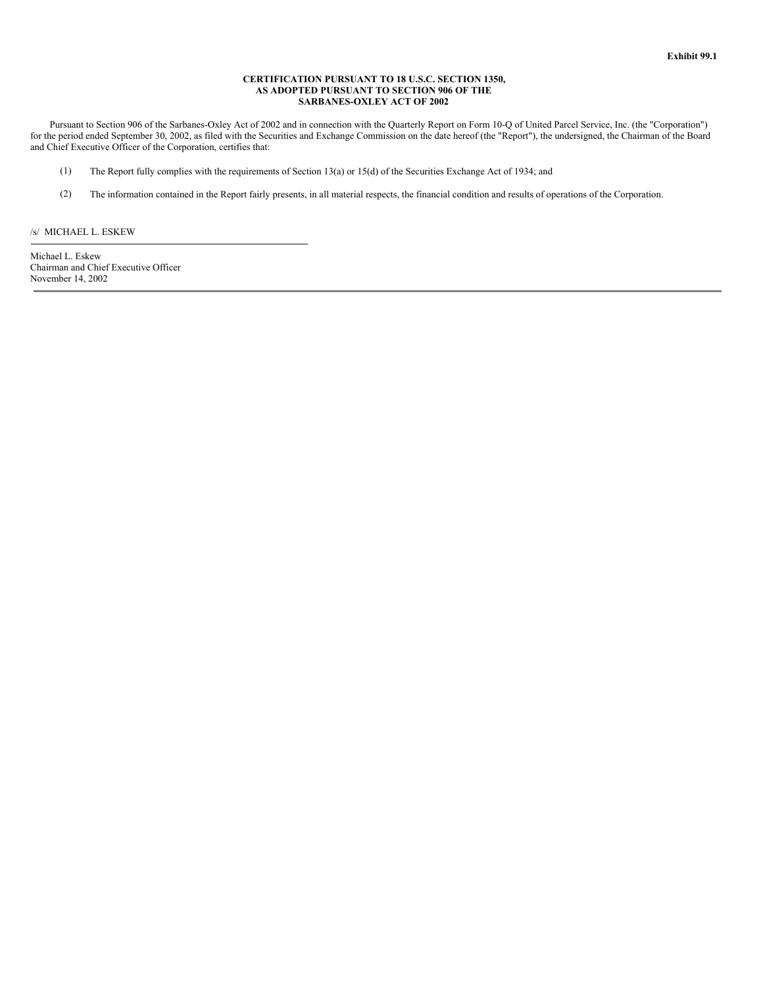## **CERTIFICATION PURSUANT TO 18 U.S.C. SECTION 1350, AS ADOPTED PURSUANT TO SECTION 906 OF THE SARBANES-OXLEY ACT OF 2002**

Pursuant to Section 906 of the Sarbanes-Oxley Act of 2002 and in connection with the Quarterly Report on Form 10-Q of United Parcel Service, Inc. (the "Corporation") for the period ended September 30, 2002, as filed with the Securities and Exchange Commission on the date hereof (the "Report"), the undersigned, the Chairman of the Board and Chief Executive Officer of the Corporation, certifies that:

- (1) The Report fully complies with the requirements of Section 13(a) or 15(d) of the Securities Exchange Act of 1934; and
- (2) The information contained in the Report fairly presents, in all material respects, the financial condition and results of operations of the Corporation.

/s/ MICHAEL L. ESKEW

Michael L. Eskew Chairman and Chief Executive Officer November 14, 2002